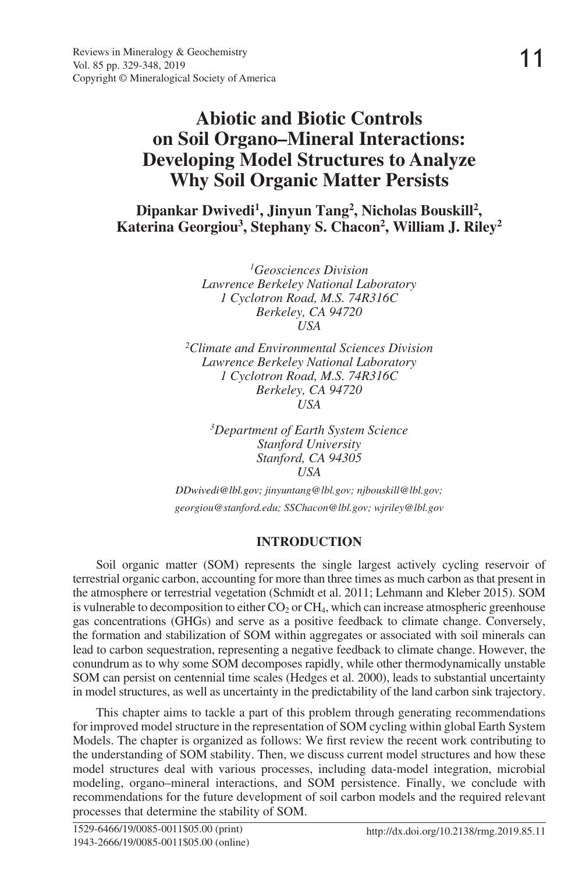# **Abiotic and Biotic Controls on Soil Organo–Mineral Interactions: Developing Model Structures to Analyze Why Soil Organic Matter Persists**

Dipankar Dwivedi<sup>1</sup>, Jinyun Tang<sup>2</sup>, Nicholas Bouskill<sup>2</sup>, **Katerina Georgiou3 , Stephany S. Chacon2 , William J. Riley2**

> *1 Geosciences Division Lawrence Berkeley National Laboratory 1 Cyclotron Road, M.S. 74R316C Berkeley, CA 94720 USA*

*2 Climate and Environmental Sciences Division Lawrence Berkeley National Laboratory 1 Cyclotron Road, M.S. 74R316C Berkeley, CA 94720 USA*

*3 Department of Earth System Science Stanford University Stanford, CA 94305 USA*

*DDwivedi@lbl.gov; jinyuntang@lbl.gov; njbouskill@lbl.gov; georgiou@stanford.edu; SSChacon@lbl.gov; wjriley@lbl.gov*

# **INTRODUCTION**

Soil organic matter (SOM) represents the single largest actively cycling reservoir of terrestrial organic carbon, accounting for more than three times as much carbon as that present in the atmosphere or terrestrial vegetation (Schmidt et al. 2011; Lehmann and Kleber 2015). SOM is vulnerable to decomposition to either  $CO<sub>2</sub>$  or  $CH<sub>4</sub>$ , which can increase atmospheric greenhouse gas concentrations (GHGs) and serve as a positive feedback to climate change. Conversely, the formation and stabilization of SOM within aggregates or associated with soil minerals can lead to carbon sequestration, representing a negative feedback to climate change. However, the conundrum as to why some SOM decomposes rapidly, while other thermodynamically unstable SOM can persist on centennial time scales (Hedges et al. 2000), leads to substantial uncertainty in model structures, as well as uncertainty in the predictability of the land carbon sink trajectory.

This chapter aims to tackle a part of this problem through generating recommendations for improved model structure in the representation of SOM cycling within global Earth System Models. The chapter is organized as follows: We first review the recent work contributing to the understanding of SOM stability. Then, we discuss current model structures and how these model structures deal with various processes, including data-model integration, microbial modeling, organo–mineral interactions, and SOM persistence. Finally, we conclude with recommendations for the future development of soil carbon models and the required relevant processes that determine the stability of SOM.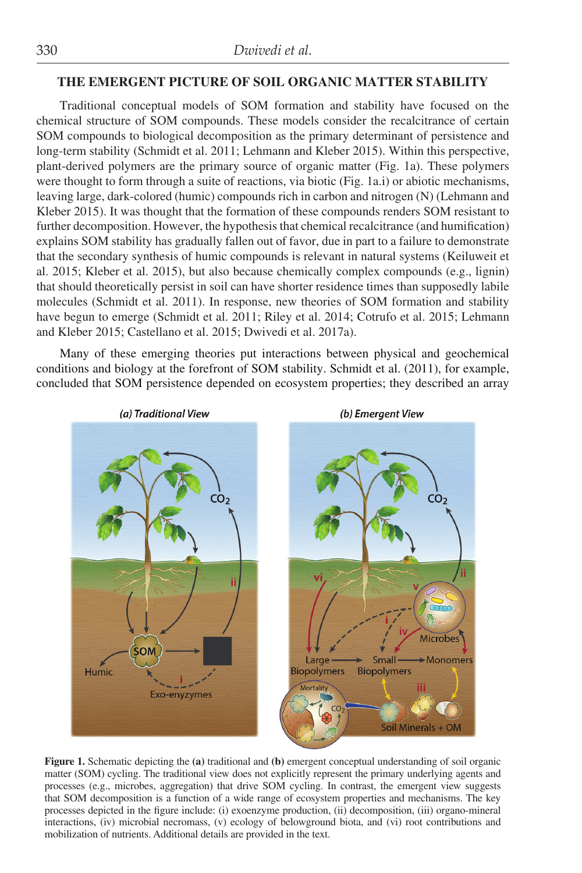## **THE EMERGENT PICTURE OF SOIL ORGANIC MATTER STABILITY**

Traditional conceptual models of SOM formation and stability have focused on the chemical structure of SOM compounds. These models consider the recalcitrance of certain SOM compounds to biological decomposition as the primary determinant of persistence and long-term stability (Schmidt et al. 2011; Lehmann and Kleber 2015). Within this perspective, plant-derived polymers are the primary source of organic matter (Fig. 1a). These polymers were thought to form through a suite of reactions, via biotic (Fig. 1a.i) or abiotic mechanisms, leaving large, dark-colored (humic) compounds rich in carbon and nitrogen (N) (Lehmann and Kleber 2015). It was thought that the formation of these compounds renders SOM resistant to further decomposition. However, the hypothesis that chemical recalcitrance (and humification) explains SOM stability has gradually fallen out of favor, due in part to a failure to demonstrate that the secondary synthesis of humic compounds is relevant in natural systems (Keiluweit et al. 2015; Kleber et al. 2015), but also because chemically complex compounds (e.g., lignin) that should theoretically persist in soil can have shorter residence times than supposedly labile molecules (Schmidt et al. 2011). In response, new theories of SOM formation and stability have begun to emerge (Schmidt et al. 2011; Riley et al. 2014; Cotrufo et al. 2015; Lehmann and Kleber 2015; Castellano et al. 2015; Dwivedi et al. 2017a).

Many of these emerging theories put interactions between physical and geochemical conditions and biology at the forefront of SOM stability. Schmidt et al. (2011), for example, concluded that SOM persistence depended on ecosystem properties; they described an array



**Figure 1.** Schematic depicting the **(a)** traditional and **(b)** emergent conceptual understanding of soil organic matter (SOM) cycling. The traditional view does not explicitly represent the primary underlying agents and processes (e.g., microbes, aggregation) that drive SOM cycling. In contrast, the emergent view suggests that SOM decomposition is a function of a wide range of ecosystem properties and mechanisms. The key processes depicted in the figure include: (i) exoenzyme production, (ii) decomposition, (iii) organo-mineral interactions, (iv) microbial necromass, (v) ecology of belowground biota, and (vi) root contributions and mobilization of nutrients. Additional details are provided in the text.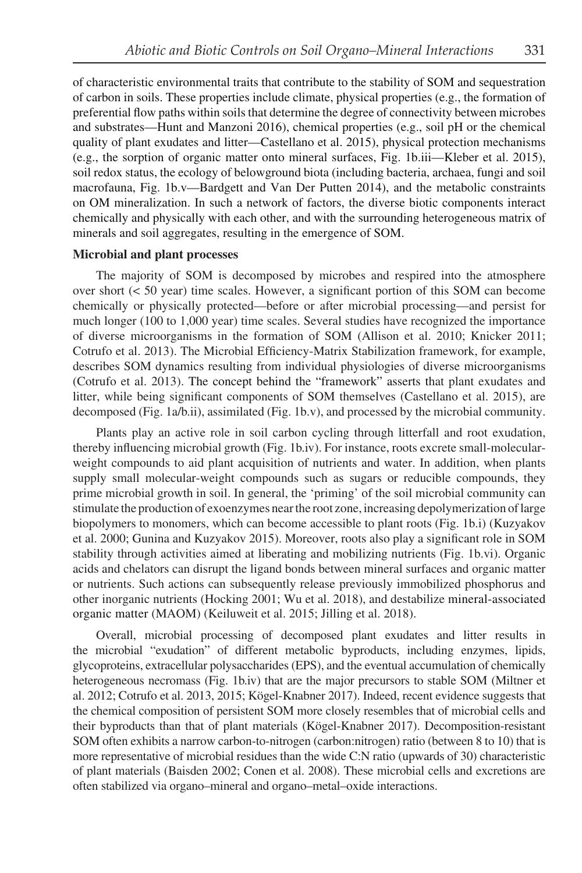of characteristic environmental traits that contribute to the stability of SOM and sequestration of carbon in soils. These properties include climate, physical properties (e.g., the formation of preferential flow paths within soils that determine the degree of connectivity between microbes and substrates—Hunt and Manzoni 2016), chemical properties (e.g., soil pH or the chemical quality of plant exudates and litter—Castellano et al. 2015), physical protection mechanisms (e.g., the sorption of organic matter onto mineral surfaces, Fig. 1b.iii—Kleber et al. 2015), soil redox status, the ecology of belowground biota (including bacteria, archaea, fungi and soil macrofauna, Fig. 1b.v—Bardgett and Van Der Putten 2014), and the metabolic constraints on OM mineralization. In such a network of factors, the diverse biotic components interact chemically and physically with each other, and with the surrounding heterogeneous matrix of minerals and soil aggregates, resulting in the emergence of SOM.

# **Microbial and plant processes**

The majority of SOM is decomposed by microbes and respired into the atmosphere over short (< 50 year) time scales. However, a significant portion of this SOM can become chemically or physically protected—before or after microbial processing—and persist for much longer (100 to 1,000 year) time scales. Several studies have recognized the importance of diverse microorganisms in the formation of SOM (Allison et al. 2010; Knicker 2011; Cotrufo et al. 2013). The Microbial Efficiency-Matrix Stabilization framework, for example, describes SOM dynamics resulting from individual physiologies of diverse microorganisms (Cotrufo et al. 2013). The concept behind the "framework" asserts that plant exudates and litter, while being significant components of SOM themselves (Castellano et al. 2015), are decomposed (Fig. 1a/b.ii), assimilated (Fig. 1b.v), and processed by the microbial community.

Plants play an active role in soil carbon cycling through litterfall and root exudation, thereby influencing microbial growth (Fig. 1b.iv). For instance, roots excrete small-molecularweight compounds to aid plant acquisition of nutrients and water. In addition, when plants supply small molecular-weight compounds such as sugars or reducible compounds, they prime microbial growth in soil. In general, the 'priming' of the soil microbial community can stimulate the production of exoenzymes near the root zone, increasing depolymerization of large biopolymers to monomers, which can become accessible to plant roots (Fig. 1b.i) (Kuzyakov et al. 2000; Gunina and Kuzyakov 2015). Moreover, roots also play a significant role in SOM stability through activities aimed at liberating and mobilizing nutrients (Fig. 1b.vi). Organic acids and chelators can disrupt the ligand bonds between mineral surfaces and organic matter or nutrients. Such actions can subsequently release previously immobilized phosphorus and other inorganic nutrients (Hocking 2001; Wu et al. 2018), and destabilize mineral-associated organic matter (MAOM) (Keiluweit et al. 2015; Jilling et al. 2018).

Overall, microbial processing of decomposed plant exudates and litter results in the microbial "exudation" of different metabolic byproducts, including enzymes, lipids, glycoproteins, extracellular polysaccharides (EPS), and the eventual accumulation of chemically heterogeneous necromass (Fig. 1b.iv) that are the major precursors to stable SOM (Miltner et al. 2012; Cotrufo et al. 2013, 2015; Kögel-Knabner 2017). Indeed, recent evidence suggests that the chemical composition of persistent SOM more closely resembles that of microbial cells and their byproducts than that of plant materials (Kögel-Knabner 2017). Decomposition-resistant SOM often exhibits a narrow carbon-to-nitrogen (carbon:nitrogen) ratio (between 8 to 10) that is more representative of microbial residues than the wide C:N ratio (upwards of 30) characteristic of plant materials (Baisden 2002; Conen et al. 2008). These microbial cells and excretions are often stabilized via organo–mineral and organo–metal–oxide interactions.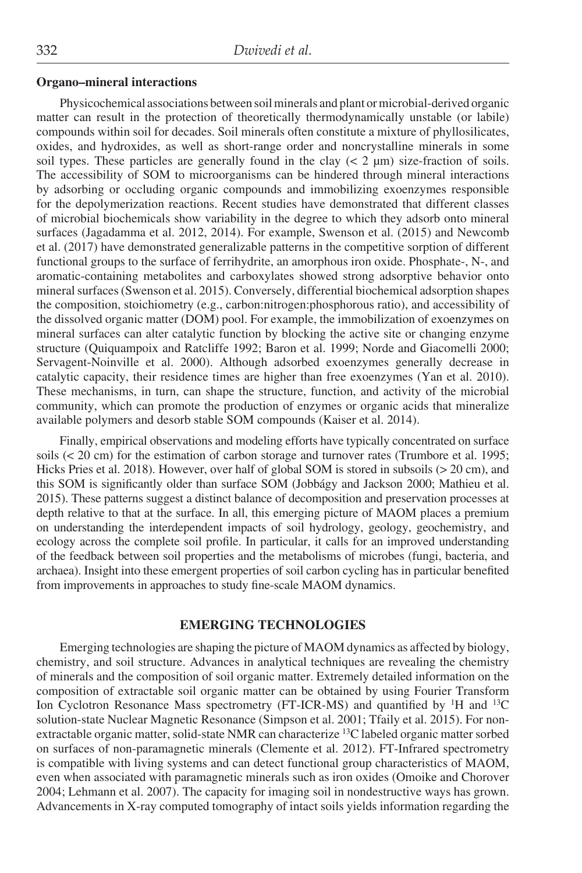#### **Organo–mineral interactions**

Physicochemical associations between soil minerals and plant or microbial-derived organic matter can result in the protection of theoretically thermodynamically unstable (or labile) compounds within soil for decades. Soil minerals often constitute a mixture of phyllosilicates, oxides, and hydroxides, as well as short-range order and noncrystalline minerals in some soil types. These particles are generally found in the clay  $(< 2 \mu m)$  size-fraction of soils. The accessibility of SOM to microorganisms can be hindered through mineral interactions by adsorbing or occluding organic compounds and immobilizing exoenzymes responsible for the depolymerization reactions. Recent studies have demonstrated that different classes of microbial biochemicals show variability in the degree to which they adsorb onto mineral surfaces (Jagadamma et al. 2012, 2014). For example, Swenson et al. (2015) and Newcomb et al. (2017) have demonstrated generalizable patterns in the competitive sorption of different functional groups to the surface of ferrihydrite, an amorphous iron oxide. Phosphate-, N-, and aromatic-containing metabolites and carboxylates showed strong adsorptive behavior onto mineral surfaces (Swenson et al. 2015). Conversely, differential biochemical adsorption shapes the composition, stoichiometry (e.g., carbon:nitrogen:phosphorous ratio), and accessibility of the dissolved organic matter (DOM) pool. For example, the immobilization of exoenzymes on mineral surfaces can alter catalytic function by blocking the active site or changing enzyme structure (Quiquampoix and Ratcliffe 1992; Baron et al. 1999; Norde and Giacomelli 2000; Servagent-Noinville et al. 2000). Although adsorbed exoenzymes generally decrease in catalytic capacity, their residence times are higher than free exoenzymes (Yan et al. 2010). These mechanisms, in turn, can shape the structure, function, and activity of the microbial community, which can promote the production of enzymes or organic acids that mineralize available polymers and desorb stable SOM compounds (Kaiser et al. 2014).

Finally, empirical observations and modeling efforts have typically concentrated on surface soils (< 20 cm) for the estimation of carbon storage and turnover rates (Trumbore et al. 1995; Hicks Pries et al. 2018). However, over half of global SOM is stored in subsoils (> 20 cm), and this SOM is significantly older than surface SOM (Jobbágy and Jackson 2000; Mathieu et al. 2015). These patterns suggest a distinct balance of decomposition and preservation processes at depth relative to that at the surface. In all, this emerging picture of MAOM places a premium on understanding the interdependent impacts of soil hydrology, geology, geochemistry, and ecology across the complete soil profile. In particular, it calls for an improved understanding of the feedback between soil properties and the metabolisms of microbes (fungi, bacteria, and archaea). Insight into these emergent properties of soil carbon cycling has in particular benefited from improvements in approaches to study fine-scale MAOM dynamics.

# **EMERGING TECHNOLOGIES**

Emerging technologies are shaping the picture of MAOM dynamics as affected by biology, chemistry, and soil structure. Advances in analytical techniques are revealing the chemistry of minerals and the composition of soil organic matter. Extremely detailed information on the composition of extractable soil organic matter can be obtained by using Fourier Transform Ion Cyclotron Resonance Mass spectrometry (FT-ICR-MS) and quantified by <sup>1</sup>H and <sup>13</sup>C solution-state Nuclear Magnetic Resonance (Simpson et al. 2001; Tfaily et al. 2015). For nonextractable organic matter, solid-state NMR can characterize <sup>13</sup>C labeled organic matter sorbed on surfaces of non-paramagnetic minerals (Clemente et al. 2012). FT-Infrared spectrometry is compatible with living systems and can detect functional group characteristics of MAOM, even when associated with paramagnetic minerals such as iron oxides (Omoike and Chorover 2004; Lehmann et al. 2007). The capacity for imaging soil in nondestructive ways has grown. Advancements in X-ray computed tomography of intact soils yields information regarding the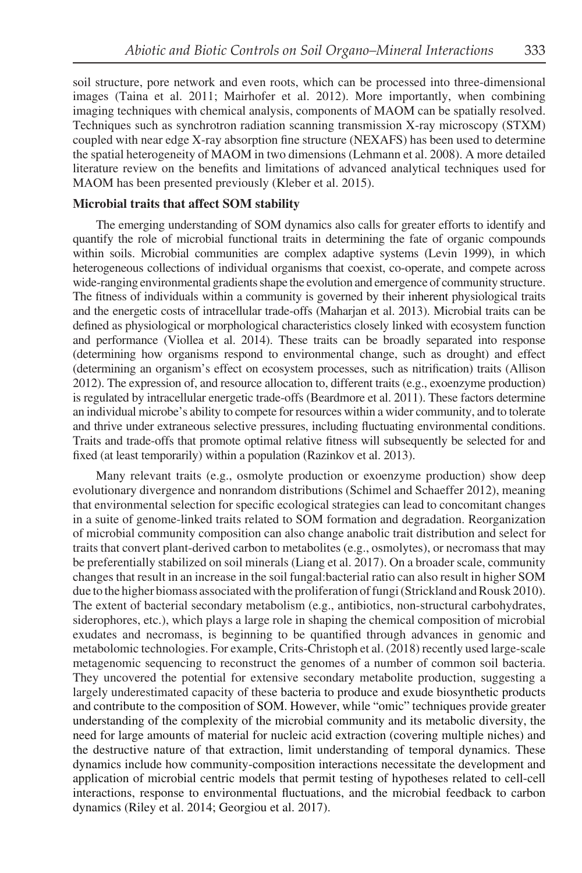soil structure, pore network and even roots, which can be processed into three-dimensional images (Taina et al. 2011; Mairhofer et al. 2012). More importantly, when combining imaging techniques with chemical analysis, components of MAOM can be spatially resolved. Techniques such as synchrotron radiation scanning transmission X-ray microscopy (STXM) coupled with near edge X-ray absorption fine structure (NEXAFS) has been used to determine the spatial heterogeneity of MAOM in two dimensions (Lehmann et al. 2008). A more detailed literature review on the benefits and limitations of advanced analytical techniques used for MAOM has been presented previously (Kleber et al. 2015).

## **Microbial traits that affect SOM stability**

The emerging understanding of SOM dynamics also calls for greater efforts to identify and quantify the role of microbial functional traits in determining the fate of organic compounds within soils. Microbial communities are complex adaptive systems (Levin 1999), in which heterogeneous collections of individual organisms that coexist, co-operate, and compete across wide-ranging environmental gradients shape the evolution and emergence of community structure. The fitness of individuals within a community is governed by their inherent physiological traits and the energetic costs of intracellular trade-offs (Maharjan et al. 2013). Microbial traits can be defined as physiological or morphological characteristics closely linked with ecosystem function and performance (Viollea et al. 2014). These traits can be broadly separated into response (determining how organisms respond to environmental change, such as drought) and effect (determining an organism's effect on ecosystem processes, such as nitrification) traits (Allison 2012). The expression of, and resource allocation to, different traits (e.g., exoenzyme production) is regulated by intracellular energetic trade-offs (Beardmore et al. 2011). These factors determine an individual microbe's ability to compete for resources within a wider community, and to tolerate and thrive under extraneous selective pressures, including fluctuating environmental conditions. Traits and trade-offs that promote optimal relative fitness will subsequently be selected for and fixed (at least temporarily) within a population (Razinkov et al. 2013).

Many relevant traits (e.g., osmolyte production or exoenzyme production) show deep evolutionary divergence and nonrandom distributions (Schimel and Schaeffer 2012), meaning that environmental selection for specific ecological strategies can lead to concomitant changes in a suite of genome-linked traits related to SOM formation and degradation. Reorganization of microbial community composition can also change anabolic trait distribution and select for traits that convert plant-derived carbon to metabolites (e.g., osmolytes), or necromass that may be preferentially stabilized on soil minerals (Liang et al. 2017). On a broader scale, community changes that result in an increase in the soil fungal:bacterial ratio can also result in higher SOM due to the higher biomass associated with the proliferation of fungi (Strickland and Rousk 2010). The extent of bacterial secondary metabolism (e.g., antibiotics, non-structural carbohydrates, siderophores, etc.), which plays a large role in shaping the chemical composition of microbial exudates and necromass, is beginning to be quantified through advances in genomic and metabolomic technologies. For example, Crits-Christoph et al. (2018) recently used large-scale metagenomic sequencing to reconstruct the genomes of a number of common soil bacteria. They uncovered the potential for extensive secondary metabolite production, suggesting a largely underestimated capacity of these bacteria to produce and exude biosynthetic products and contribute to the composition of SOM. However, while "omic" techniques provide greater understanding of the complexity of the microbial community and its metabolic diversity, the need for large amounts of material for nucleic acid extraction (covering multiple niches) and the destructive nature of that extraction, limit understanding of temporal dynamics. These dynamics include how community-composition interactions necessitate the development and application of microbial centric models that permit testing of hypotheses related to cell-cell interactions, response to environmental fluctuations, and the microbial feedback to carbon dynamics (Riley et al. 2014; Georgiou et al. 2017).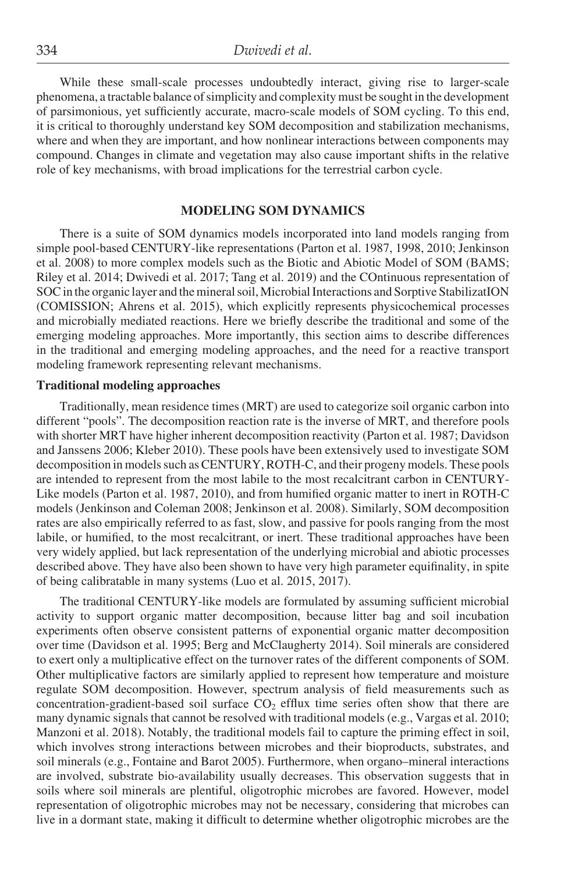While these small-scale processes undoubtedly interact, giving rise to larger-scale phenomena, a tractable balance of simplicity and complexity must be sought in the development of parsimonious, yet sufficiently accurate, macro-scale models of SOM cycling. To this end, it is critical to thoroughly understand key SOM decomposition and stabilization mechanisms, where and when they are important, and how nonlinear interactions between components may compound. Changes in climate and vegetation may also cause important shifts in the relative role of key mechanisms, with broad implications for the terrestrial carbon cycle.

## **MODELING SOM DYNAMICS**

There is a suite of SOM dynamics models incorporated into land models ranging from simple pool-based CENTURY-like representations (Parton et al. 1987, 1998, 2010; Jenkinson et al. 2008) to more complex models such as the Biotic and Abiotic Model of SOM (BAMS; Riley et al. 2014; Dwivedi et al. 2017; Tang et al. 2019) and the COntinuous representation of SOC in the organic layer and the mineral soil, Microbial Interactions and Sorptive StabilizatION (COMISSION; Ahrens et al. 2015), which explicitly represents physicochemical processes and microbially mediated reactions. Here we briefly describe the traditional and some of the emerging modeling approaches. More importantly, this section aims to describe differences in the traditional and emerging modeling approaches, and the need for a reactive transport modeling framework representing relevant mechanisms.

#### **Traditional modeling approaches**

Traditionally, mean residence times (MRT) are used to categorize soil organic carbon into different "pools". The decomposition reaction rate is the inverse of MRT, and therefore pools with shorter MRT have higher inherent decomposition reactivity (Parton et al. 1987; Davidson and Janssens 2006; Kleber 2010). These pools have been extensively used to investigate SOM decomposition in models such as CENTURY, ROTH-C, and their progeny models. These pools are intended to represent from the most labile to the most recalcitrant carbon in CENTURY-Like models (Parton et al. 1987, 2010), and from humified organic matter to inert in ROTH-C models (Jenkinson and Coleman 2008; Jenkinson et al. 2008). Similarly, SOM decomposition rates are also empirically referred to as fast, slow, and passive for pools ranging from the most labile, or humified, to the most recalcitrant, or inert. These traditional approaches have been very widely applied, but lack representation of the underlying microbial and abiotic processes described above. They have also been shown to have very high parameter equifinality, in spite of being calibratable in many systems (Luo et al. 2015, 2017).

The traditional CENTURY-like models are formulated by assuming sufficient microbial activity to support organic matter decomposition, because litter bag and soil incubation experiments often observe consistent patterns of exponential organic matter decomposition over time (Davidson et al. 1995; Berg and McClaugherty 2014). Soil minerals are considered to exert only a multiplicative effect on the turnover rates of the different components of SOM. Other multiplicative factors are similarly applied to represent how temperature and moisture regulate SOM decomposition. However, spectrum analysis of field measurements such as concentration-gradient-based soil surface  $CO<sub>2</sub>$  efflux time series often show that there are many dynamic signals that cannot be resolved with traditional models (e.g., Vargas et al. 2010; Manzoni et al. 2018). Notably, the traditional models fail to capture the priming effect in soil, which involves strong interactions between microbes and their bioproducts, substrates, and soil minerals (e.g., Fontaine and Barot 2005). Furthermore, when organo–mineral interactions are involved, substrate bio-availability usually decreases. This observation suggests that in soils where soil minerals are plentiful, oligotrophic microbes are favored. However, model representation of oligotrophic microbes may not be necessary, considering that microbes can live in a dormant state, making it difficult to determine whether oligotrophic microbes are the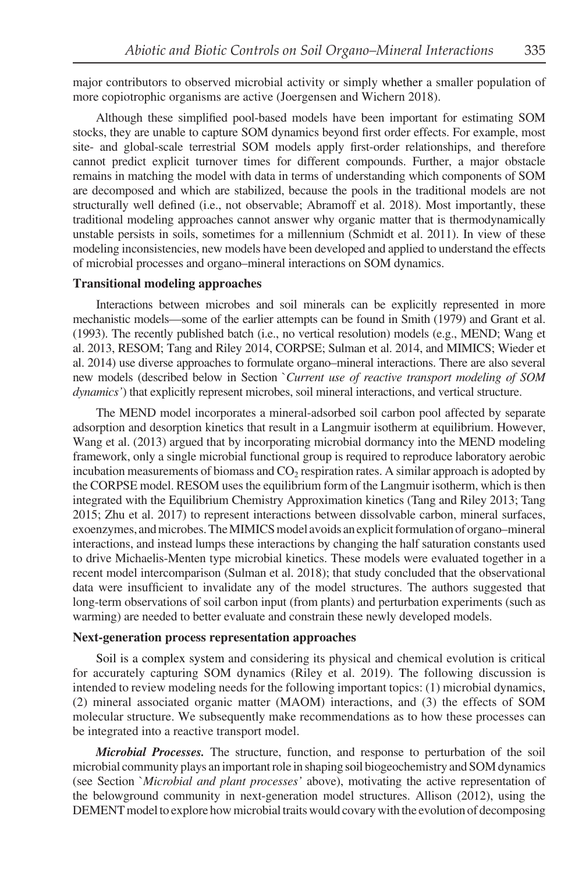major contributors to observed microbial activity or simply whether a smaller population of more copiotrophic organisms are active (Joergensen and Wichern 2018).

Although these simplified pool-based models have been important for estimating SOM stocks, they are unable to capture SOM dynamics beyond first order effects. For example, most site- and global-scale terrestrial SOM models apply first-order relationships, and therefore cannot predict explicit turnover times for different compounds. Further, a major obstacle remains in matching the model with data in terms of understanding which components of SOM are decomposed and which are stabilized, because the pools in the traditional models are not structurally well defined (i.e., not observable; Abramoff et al. 2018). Most importantly, these traditional modeling approaches cannot answer why organic matter that is thermodynamically unstable persists in soils, sometimes for a millennium (Schmidt et al. 2011). In view of these modeling inconsistencies, new models have been developed and applied to understand the effects of microbial processes and organo–mineral interactions on SOM dynamics.

#### **Transitional modeling approaches**

Interactions between microbes and soil minerals can be explicitly represented in more mechanistic models—some of the earlier attempts can be found in Smith (1979) and Grant et al. (1993). The recently published batch (i.e., no vertical resolution) models (e.g., MEND; Wang et al. 2013, RESOM; Tang and Riley 2014, CORPSE; Sulman et al. 2014, and MIMICS; Wieder et al. 2014) use diverse approaches to formulate organo–mineral interactions. There are also several new models (described below in Section `*Current use of reactive transport modeling of SOM dynamics'*) that explicitly represent microbes, soil mineral interactions, and vertical structure.

The MEND model incorporates a mineral-adsorbed soil carbon pool affected by separate adsorption and desorption kinetics that result in a Langmuir isotherm at equilibrium. However, Wang et al. (2013) argued that by incorporating microbial dormancy into the MEND modeling framework, only a single microbial functional group is required to reproduce laboratory aerobic incubation measurements of biomass and  $CO<sub>2</sub>$  respiration rates. A similar approach is adopted by the CORPSE model. RESOM uses the equilibrium form of the Langmuir isotherm, which is then integrated with the Equilibrium Chemistry Approximation kinetics (Tang and Riley 2013; Tang 2015; Zhu et al. 2017) to represent interactions between dissolvable carbon, mineral surfaces, exoenzymes, and microbes. The MIMICS model avoids an explicit formulation of organo–mineral interactions, and instead lumps these interactions by changing the half saturation constants used to drive Michaelis-Menten type microbial kinetics. These models were evaluated together in a recent model intercomparison (Sulman et al. 2018); that study concluded that the observational data were insufficient to invalidate any of the model structures. The authors suggested that long-term observations of soil carbon input (from plants) and perturbation experiments (such as warming) are needed to better evaluate and constrain these newly developed models.

#### **Next-generation process representation approaches**

Soil is a complex system and considering its physical and chemical evolution is critical for accurately capturing SOM dynamics (Riley et al. 2019). The following discussion is intended to review modeling needs for the following important topics: (1) microbial dynamics, (2) mineral associated organic matter (MAOM) interactions, and (3) the effects of SOM molecular structure. We subsequently make recommendations as to how these processes can be integrated into a reactive transport model.

*Microbial Processes.* The structure, function, and response to perturbation of the soil microbial community plays an important role in shaping soil biogeochemistry and SOM dynamics (see Section `*Microbial and plant processes'* above), motivating the active representation of the belowground community in next-generation model structures. Allison (2012), using the DEMENT model to explore how microbial traits would covary with the evolution of decomposing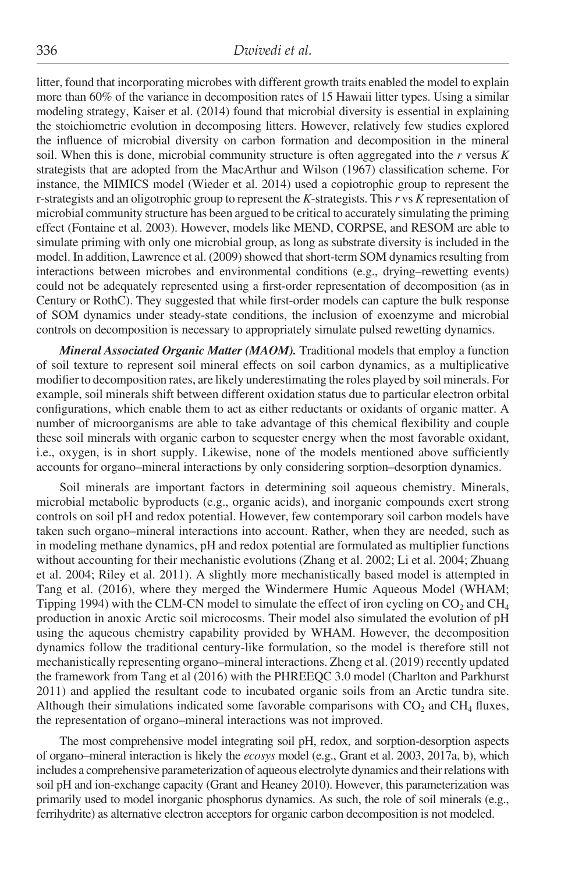litter, found that incorporating microbes with different growth traits enabled the model to explain more than 60% of the variance in decomposition rates of 15 Hawaii litter types. Using a similar modeling strategy, Kaiser et al. (2014) found that microbial diversity is essential in explaining the stoichiometric evolution in decomposing litters. However, relatively few studies explored the influence of microbial diversity on carbon formation and decomposition in the mineral soil. When this is done, microbial community structure is often aggregated into the *r* versus *K* strategists that are adopted from the MacArthur and Wilson (1967) classification scheme. For instance, the MIMICS model (Wieder et al. 2014) used a copiotrophic group to represent the r-strategists and an oligotrophic group to represent the *K*-strategists. This *r* vs *K* representation of microbial community structure has been argued to be critical to accurately simulating the priming effect (Fontaine et al. 2003). However, models like MEND, CORPSE, and RESOM are able to simulate priming with only one microbial group, as long as substrate diversity is included in the model. In addition, Lawrence et al. (2009) showed that short-term SOM dynamics resulting from interactions between microbes and environmental conditions (e.g., drying–rewetting events) could not be adequately represented using a first-order representation of decomposition (as in Century or RothC). They suggested that while first-order models can capture the bulk response of SOM dynamics under steady-state conditions, the inclusion of exoenzyme and microbial controls on decomposition is necessary to appropriately simulate pulsed rewetting dynamics.

*Mineral Associated Organic Matter (MAOM).* Traditional models that employ a function of soil texture to represent soil mineral effects on soil carbon dynamics, as a multiplicative modifier to decomposition rates, are likely underestimating the roles played by soil minerals. For example, soil minerals shift between different oxidation status due to particular electron orbital configurations, which enable them to act as either reductants or oxidants of organic matter. A number of microorganisms are able to take advantage of this chemical flexibility and couple these soil minerals with organic carbon to sequester energy when the most favorable oxidant, i.e., oxygen, is in short supply. Likewise, none of the models mentioned above sufficiently accounts for organo–mineral interactions by only considering sorption–desorption dynamics.

Soil minerals are important factors in determining soil aqueous chemistry. Minerals, microbial metabolic byproducts (e.g., organic acids), and inorganic compounds exert strong controls on soil pH and redox potential. However, few contemporary soil carbon models have taken such organo–mineral interactions into account. Rather, when they are needed, such as in modeling methane dynamics, pH and redox potential are formulated as multiplier functions without accounting for their mechanistic evolutions (Zhang et al. 2002; Li et al. 2004; Zhuang et al. 2004; Riley et al. 2011). A slightly more mechanistically based model is attempted in Tang et al. (2016), where they merged the Windermere Humic Aqueous Model (WHAM; Tipping 1994) with the CLM-CN model to simulate the effect of iron cycling on  $CO<sub>2</sub>$  and  $CH<sub>4</sub>$ production in anoxic Arctic soil microcosms. Their model also simulated the evolution of pH using the aqueous chemistry capability provided by WHAM. However, the decomposition dynamics follow the traditional century-like formulation, so the model is therefore still not mechanistically representing organo–mineral interactions. Zheng et al. (2019) recently updated the framework from Tang et al (2016) with the PHREEQC 3.0 model (Charlton and Parkhurst 2011) and applied the resultant code to incubated organic soils from an Arctic tundra site. Although their simulations indicated some favorable comparisons with  $CO<sub>2</sub>$  and  $CH<sub>4</sub>$  fluxes, the representation of organo–mineral interactions was not improved.

The most comprehensive model integrating soil pH, redox, and sorption-desorption aspects of organo–mineral interaction is likely the *ecosys* model (e.g., Grant et al. 2003, 2017a, b), which includes a comprehensive parameterization of aqueous electrolyte dynamics and their relations with soil pH and ion-exchange capacity (Grant and Heaney 2010). However, this parameterization was primarily used to model inorganic phosphorus dynamics. As such, the role of soil minerals (e.g., ferrihydrite) as alternative electron acceptors for organic carbon decomposition is not modeled.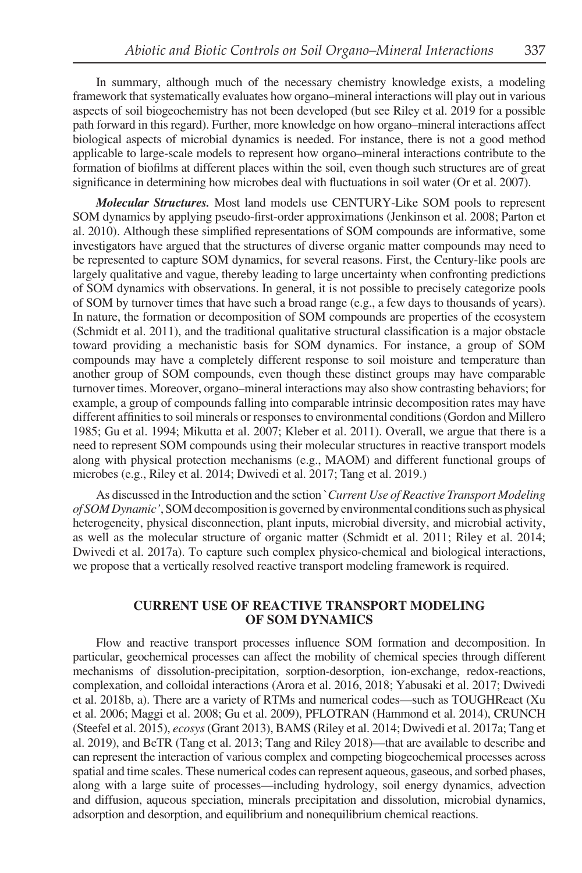In summary, although much of the necessary chemistry knowledge exists, a modeling framework that systematically evaluates how organo–mineral interactions will play out in various aspects of soil biogeochemistry has not been developed (but see Riley et al. 2019 for a possible path forward in this regard). Further, more knowledge on how organo–mineral interactions affect biological aspects of microbial dynamics is needed. For instance, there is not a good method applicable to large-scale models to represent how organo–mineral interactions contribute to the formation of biofilms at different places within the soil, even though such structures are of great significance in determining how microbes deal with fluctuations in soil water (Or et al. 2007).

*Molecular Structures.* Most land models use CENTURY-Like SOM pools to represent SOM dynamics by applying pseudo-first-order approximations (Jenkinson et al. 2008; Parton et al. 2010). Although these simplified representations of SOM compounds are informative, some investigators have argued that the structures of diverse organic matter compounds may need to be represented to capture SOM dynamics, for several reasons. First, the Century-like pools are largely qualitative and vague, thereby leading to large uncertainty when confronting predictions of SOM dynamics with observations. In general, it is not possible to precisely categorize pools of SOM by turnover times that have such a broad range (e.g., a few days to thousands of years). In nature, the formation or decomposition of SOM compounds are properties of the ecosystem (Schmidt et al. 2011), and the traditional qualitative structural classification is a major obstacle toward providing a mechanistic basis for SOM dynamics. For instance, a group of SOM compounds may have a completely different response to soil moisture and temperature than another group of SOM compounds, even though these distinct groups may have comparable turnover times. Moreover, organo–mineral interactions may also show contrasting behaviors; for example, a group of compounds falling into comparable intrinsic decomposition rates may have different affinities to soil minerals or responses to environmental conditions (Gordon and Millero 1985; Gu et al. 1994; Mikutta et al. 2007; Kleber et al. 2011). Overall, we argue that there is a need to represent SOM compounds using their molecular structures in reactive transport models along with physical protection mechanisms (e.g., MAOM) and different functional groups of microbes (e.g., Riley et al. 2014; Dwivedi et al. 2017; Tang et al. 2019.)

As discussed in the Introduction and the sction `*Current Use of Reactive Transport Modeling of SOM Dynamic'*, SOM decomposition is governed by environmental conditions such as physical heterogeneity, physical disconnection, plant inputs, microbial diversity, and microbial activity, as well as the molecular structure of organic matter (Schmidt et al. 2011; Riley et al. 2014; Dwivedi et al. 2017a). To capture such complex physico-chemical and biological interactions, we propose that a vertically resolved reactive transport modeling framework is required.

## **CURRENT USE OF REACTIVE TRANSPORT MODELING OF SOM DYNAMICS**

Flow and reactive transport processes influence SOM formation and decomposition. In particular, geochemical processes can affect the mobility of chemical species through different mechanisms of dissolution-precipitation, sorption-desorption, ion-exchange, redox-reactions, complexation, and colloidal interactions (Arora et al. 2016, 2018; Yabusaki et al. 2017; Dwivedi et al. 2018b, a). There are a variety of RTMs and numerical codes—such as TOUGHReact (Xu et al. 2006; Maggi et al. 2008; Gu et al. 2009), PFLOTRAN (Hammond et al. 2014), CRUNCH (Steefel et al. 2015), *ecosys* (Grant 2013), BAMS (Riley et al. 2014; Dwivedi et al. 2017a; Tang et al. 2019), and BeTR (Tang et al. 2013; Tang and Riley 2018)—that are available to describe and can represent the interaction of various complex and competing biogeochemical processes across spatial and time scales. These numerical codes can represent aqueous, gaseous, and sorbed phases, along with a large suite of processes—including hydrology, soil energy dynamics, advection and diffusion, aqueous speciation, minerals precipitation and dissolution, microbial dynamics, adsorption and desorption, and equilibrium and nonequilibrium chemical reactions.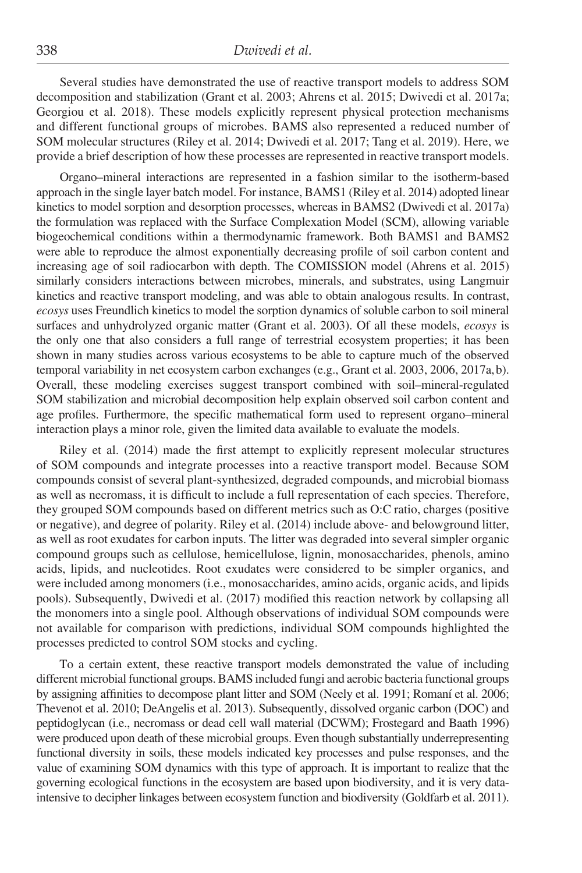Several studies have demonstrated the use of reactive transport models to address SOM decomposition and stabilization (Grant et al. 2003; Ahrens et al. 2015; Dwivedi et al. 2017a; Georgiou et al. 2018). These models explicitly represent physical protection mechanisms and different functional groups of microbes. BAMS also represented a reduced number of SOM molecular structures (Riley et al. 2014; Dwivedi et al. 2017; Tang et al. 2019). Here, we provide a brief description of how these processes are represented in reactive transport models.

Organo–mineral interactions are represented in a fashion similar to the isotherm-based approach in the single layer batch model. For instance, BAMS1 (Riley et al. 2014) adopted linear kinetics to model sorption and desorption processes, whereas in BAMS2 (Dwivedi et al. 2017a) the formulation was replaced with the Surface Complexation Model (SCM), allowing variable biogeochemical conditions within a thermodynamic framework. Both BAMS1 and BAMS2 were able to reproduce the almost exponentially decreasing profile of soil carbon content and increasing age of soil radiocarbon with depth. The COMISSION model (Ahrens et al. 2015) similarly considers interactions between microbes, minerals, and substrates, using Langmuir kinetics and reactive transport modeling, and was able to obtain analogous results. In contrast, *ecosys* uses Freundlich kinetics to model the sorption dynamics of soluble carbon to soil mineral surfaces and unhydrolyzed organic matter (Grant et al. 2003). Of all these models, *ecosys* is the only one that also considers a full range of terrestrial ecosystem properties; it has been shown in many studies across various ecosystems to be able to capture much of the observed temporal variability in net ecosystem carbon exchanges (e.g., Grant et al. 2003, 2006, 2017a,b). Overall, these modeling exercises suggest transport combined with soil–mineral-regulated SOM stabilization and microbial decomposition help explain observed soil carbon content and age profiles. Furthermore, the specific mathematical form used to represent organo–mineral interaction plays a minor role, given the limited data available to evaluate the models.

Riley et al. (2014) made the first attempt to explicitly represent molecular structures of SOM compounds and integrate processes into a reactive transport model. Because SOM compounds consist of several plant-synthesized, degraded compounds, and microbial biomass as well as necromass, it is difficult to include a full representation of each species. Therefore, they grouped SOM compounds based on different metrics such as O:C ratio, charges (positive or negative), and degree of polarity. Riley et al. (2014) include above- and belowground litter, as well as root exudates for carbon inputs. The litter was degraded into several simpler organic compound groups such as cellulose, hemicellulose, lignin, monosaccharides, phenols, amino acids, lipids, and nucleotides. Root exudates were considered to be simpler organics, and were included among monomers (i.e., monosaccharides, amino acids, organic acids, and lipids pools). Subsequently, Dwivedi et al. (2017) modified this reaction network by collapsing all the monomers into a single pool. Although observations of individual SOM compounds were not available for comparison with predictions, individual SOM compounds highlighted the processes predicted to control SOM stocks and cycling.

To a certain extent, these reactive transport models demonstrated the value of including different microbial functional groups. BAMS included fungi and aerobic bacteria functional groups by assigning affinities to decompose plant litter and SOM (Neely et al. 1991; Romaní et al. 2006; Thevenot et al. 2010; DeAngelis et al. 2013). Subsequently, dissolved organic carbon (DOC) and peptidoglycan (i.e., necromass or dead cell wall material (DCWM); Frostegard and Baath 1996) were produced upon death of these microbial groups. Even though substantially underrepresenting functional diversity in soils, these models indicated key processes and pulse responses, and the value of examining SOM dynamics with this type of approach. It is important to realize that the governing ecological functions in the ecosystem are based upon biodiversity, and it is very dataintensive to decipher linkages between ecosystem function and biodiversity (Goldfarb et al. 2011).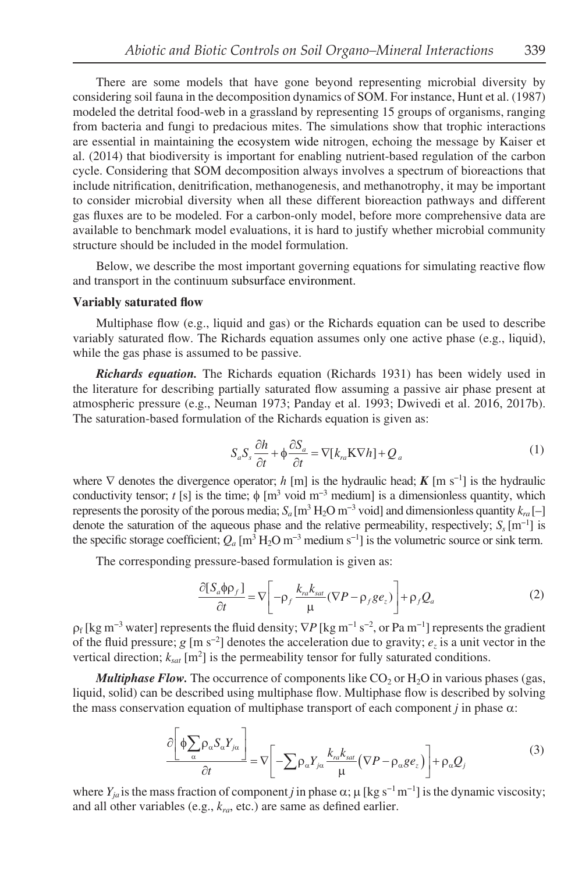There are some models that have gone beyond representing microbial diversity by considering soil fauna in the decomposition dynamics of SOM. For instance, Hunt et al. (1987) modeled the detrital food-web in a grassland by representing 15 groups of organisms, ranging from bacteria and fungi to predacious mites. The simulations show that trophic interactions are essential in maintaining the ecosystem wide nitrogen, echoing the message by Kaiser et al. (2014) that biodiversity is important for enabling nutrient-based regulation of the carbon cycle. Considering that SOM decomposition always involves a spectrum of bioreactions that include nitrification, denitrification, methanogenesis, and methanotrophy, it may be important to consider microbial diversity when all these different bioreaction pathways and different gas fluxes are to be modeled. For a carbon-only model, before more comprehensive data are available to benchmark model evaluations, it is hard to justify whether microbial community structure should be included in the model formulation.

Below, we describe the most important governing equations for simulating reactive flow and transport in the continuum subsurface environment.

#### **Variably saturated flow**

Multiphase flow (e.g., liquid and gas) or the Richards equation can be used to describe variably saturated flow. The Richards equation assumes only one active phase (e.g., liquid), while the gas phase is assumed to be passive.

*Richards equation.* The Richards equation (Richards 1931) has been widely used in the literature for describing partially saturated flow assuming a passive air phase present at atmospheric pressure (e.g., Neuman 1973; Panday et al. 1993; Dwivedi et al. 2016, 2017b). The saturation-based formulation of the Richards equation is given as:

$$
S_a S_s \frac{\partial h}{\partial t} + \phi \frac{\partial S_a}{\partial t} = \nabla [k_{ra} \mathbf{K} \nabla h] + Q_a \tag{1}
$$

where ∇ denotes the divergence operator; *h* [m] is the hydraulic head; *K* [m s−1] is the hydraulic conductivity tensor; *t* [s] is the time;  $\phi$  [m<sup>3</sup> void m<sup>-3</sup> medium] is a dimensionless quantity, which represents the porosity of the porous media;  $S_a$  [m<sup>3</sup> H<sub>2</sub>O m<sup>-3</sup> void] and dimensionless quantity  $k_{ra}$  [-] denote the saturation of the aqueous phase and the relative permeability, respectively;  $S_s$  [m<sup>-1</sup>] is the specific storage coefficient;  $Q_a$  [m<sup>3</sup> H<sub>2</sub>O m<sup>-3</sup> medium s<sup>-1</sup>] is the volumetric source or sink term.

The corresponding pressure-based formulation is given as:

$$
\frac{\partial [S_a \phi \rho_f]}{\partial t} = \nabla \left[ -\rho_f \frac{k_{ra} k_{sat}}{\mu} (\nabla P - \rho_f g e_z) \right] + \rho_f Q_a \tag{2}
$$

rf [kg m−3 water] represents the fluid density; ∇*P* [kg m−1 s−2, or Pa m−1] represents the gradient of the fluid pressure; *g* [m s−2] denotes the acceleration due to gravity; *ez* is a unit vector in the vertical direction;  $k_{sat}$   $[m^2]$  is the permeability tensor for fully saturated conditions.

*Multiphase Flow.* The occurrence of components like  $CO<sub>2</sub>$  or  $H<sub>2</sub>O$  in various phases (gas, liquid, solid) can be described using multiphase flow. Multiphase flow is described by solving the mass conservation equation of multiphase transport of each component  $j$  in phase  $\alpha$ :

$$
\frac{\partial \left[ \phi \sum_{\alpha} \rho_{\alpha} S_{\alpha} Y_{j\alpha} \right]}{\partial t} = \nabla \left[ -\sum \rho_{\alpha} Y_{j\alpha} \frac{k_{r\alpha} k_{s\alpha}}{\mu} \left( \nabla P - \rho_{\alpha} g e_z \right) \right] + \rho_{\alpha} Q_j \tag{3}
$$

where  $Y_{ja}$  is the mass fraction of component *j* in phase  $\alpha$ ;  $\mu$  [kg s<sup>-1</sup>m<sup>-1</sup>] is the dynamic viscosity; and all other variables (e.g., *kra*, etc.) are same as defined earlier.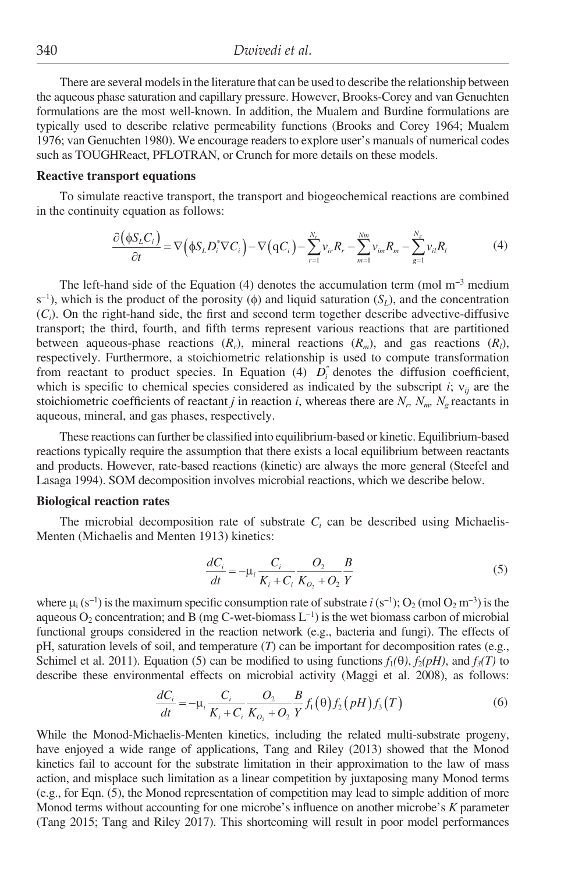There are several models in the literature that can be used to describe the relationship between the aqueous phase saturation and capillary pressure. However, Brooks-Corey and van Genuchten formulations are the most well-known. In addition, the Mualem and Burdine formulations are typically used to describe relative permeability functions (Brooks and Corey 1964; Mualem 1976; van Genuchten 1980). We encourage readers to explore user's manuals of numerical codes such as TOUGHReact, PFLOTRAN, or Crunch for more details on these models.

### **Reactive transport equations**

To simulate reactive transport, the transport and biogeochemical reactions are combined in the continuity equation as follows:

$$
\frac{\partial (\phi S_L C_i)}{\partial t} = \nabla (\phi S_L D_i^* \nabla C_i) - \nabla (qC_i) - \sum_{r=1}^{N_r} v_{ir} R_r - \sum_{m=1}^{N_m} v_{im} R_m - \sum_{g=1}^{N_g} v_{il} R_l \tag{4}
$$

The left-hand side of the Equation (4) denotes the accumulation term (mol  $m^{-3}$  medium s−1), which is the product of the porosity (φ) and liquid saturation (*SL*), and the concentration (*Ci*). On the right-hand side, the first and second term together describe advective-diffusive transport; the third, fourth, and fifth terms represent various reactions that are partitioned between aqueous-phase reactions  $(R_r)$ , mineral reactions  $(R_m)$ , and gas reactions  $(R_l)$ , respectively. Furthermore, a stoichiometric relationship is used to compute transformation from reactant to product species. In Equation  $(4)$   $D_i^*$  denotes the diffusion coefficient, which is specific to chemical species considered as indicated by the subscript  $i$ ;  $v_{ij}$  are the stoichiometric coefficients of reactant *j* in reaction *i*, whereas there are  $N_r$ ,  $N_m$ ,  $N_g$  reactants in aqueous, mineral, and gas phases, respectively.

These reactions can further be classified into equilibrium-based or kinetic. Equilibrium-based reactions typically require the assumption that there exists a local equilibrium between reactants and products. However, rate-based reactions (kinetic) are always the more general (Steefel and Lasaga 1994). SOM decomposition involves microbial reactions, which we describe below.

#### **Biological reaction rates**

The microbial decomposition rate of substrate  $C_i$  can be described using Michaelis-Menten (Michaelis and Menten 1913) kinetics:

$$
\frac{dC_i}{dt} = -\mu_i \frac{C_i}{K_i + C_i} \frac{O_2}{K_{O_2} + O_2} \frac{B}{Y}
$$
(5)

where  $\mu_i$  (s<sup>-1</sup>) is the maximum specific consumption rate of substrate *i* (s<sup>-1</sup>); O<sub>2</sub> (mol O<sub>2</sub> m<sup>-3</sup>) is the aqueous  $O_2$  concentration; and B (mg C-wet-biomass L<sup>-1</sup>) is the wet biomass carbon of microbial functional groups considered in the reaction network (e.g., bacteria and fungi). The effects of pH, saturation levels of soil, and temperature (*T*) can be important for decomposition rates (e.g., Schimel et al. 2011). Equation (5) can be modified to using functions  $f_1(\theta)$ ,  $f_2(pH)$ , and  $f_3(T)$  to describe these environmental effects on microbial activity (Maggi et al. 2008), as follows:

$$
\frac{dC_i}{dt} = -\mu_i \frac{C_i}{K_i + C_i} \frac{O_2}{K_{O_2} + O_2} \frac{B}{Y} f_1(\theta) f_2(pH) f_3(T)
$$
(6)

While the Monod-Michaelis-Menten kinetics, including the related multi-substrate progeny, have enjoyed a wide range of applications, Tang and Riley (2013) showed that the Monod kinetics fail to account for the substrate limitation in their approximation to the law of mass action, and misplace such limitation as a linear competition by juxtaposing many Monod terms (e.g., for Eqn. (5), the Monod representation of competition may lead to simple addition of more Monod terms without accounting for one microbe's influence on another microbe's *K* parameter (Tang 2015; Tang and Riley 2017). This shortcoming will result in poor model performances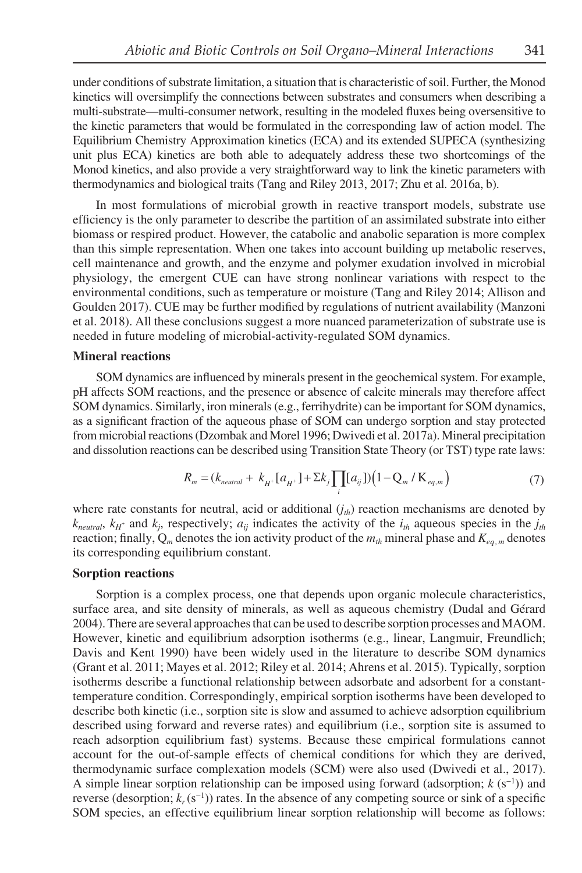under conditions of substrate limitation, a situation that is characteristic of soil. Further, the Monod kinetics will oversimplify the connections between substrates and consumers when describing a multi-substrate—multi-consumer network, resulting in the modeled fluxes being oversensitive to the kinetic parameters that would be formulated in the corresponding law of action model. The Equilibrium Chemistry Approximation kinetics (ECA) and its extended SUPECA (synthesizing unit plus ECA) kinetics are both able to adequately address these two shortcomings of the Monod kinetics, and also provide a very straightforward way to link the kinetic parameters with thermodynamics and biological traits (Tang and Riley 2013, 2017; Zhu et al. 2016a, b).

In most formulations of microbial growth in reactive transport models, substrate use efficiency is the only parameter to describe the partition of an assimilated substrate into either biomass or respired product. However, the catabolic and anabolic separation is more complex than this simple representation. When one takes into account building up metabolic reserves, cell maintenance and growth, and the enzyme and polymer exudation involved in microbial physiology, the emergent CUE can have strong nonlinear variations with respect to the environmental conditions, such as temperature or moisture (Tang and Riley 2014; Allison and Goulden 2017). CUE may be further modified by regulations of nutrient availability (Manzoni et al. 2018). All these conclusions suggest a more nuanced parameterization of substrate use is needed in future modeling of microbial-activity-regulated SOM dynamics.

## **Mineral reactions**

SOM dynamics are influenced by minerals present in the geochemical system. For example, pH affects SOM reactions, and the presence or absence of calcite minerals may therefore affect SOM dynamics. Similarly, iron minerals (e.g., ferrihydrite) can be important for SOM dynamics, as a significant fraction of the aqueous phase of SOM can undergo sorption and stay protected from microbial reactions (Dzombak and Morel 1996; Dwivedi et al. 2017a). Mineral precipitation and dissolution reactions can be described using Transition State Theory (or TST) type rate laws:

$$
R_m = (k_{neutral} + k_{H^*}[a_{H^*}] + \Sigma k_j \prod_i [a_{ij}]) (1 - Q_m / K_{eq,m})
$$
\n(7)

where rate constants for neutral, acid or additional  $(j_{th})$  reaction mechanisms are denoted by  $k_{neutral}$ ,  $k_{H^+}$  and  $k_i$ , respectively;  $a_{ij}$  indicates the activity of the  $i_{th}$  aqueous species in the  $j_{th}$ reaction; finally,  $Q_m$  denotes the ion activity product of the  $m_{th}$  mineral phase and  $K_{eq,m}$  denotes its corresponding equilibrium constant.

#### **Sorption reactions**

Sorption is a complex process, one that depends upon organic molecule characteristics, surface area, and site density of minerals, as well as aqueous chemistry (Dudal and Gérard 2004). There are several approaches that can be used to describe sorption processes and MAOM. However, kinetic and equilibrium adsorption isotherms (e.g., linear, Langmuir, Freundlich; Davis and Kent 1990) have been widely used in the literature to describe SOM dynamics (Grant et al. 2011; Mayes et al. 2012; Riley et al. 2014; Ahrens et al. 2015). Typically, sorption isotherms describe a functional relationship between adsorbate and adsorbent for a constanttemperature condition. Correspondingly, empirical sorption isotherms have been developed to describe both kinetic (i.e., sorption site is slow and assumed to achieve adsorption equilibrium described using forward and reverse rates) and equilibrium (i.e., sorption site is assumed to reach adsorption equilibrium fast) systems. Because these empirical formulations cannot account for the out-of-sample effects of chemical conditions for which they are derived, thermodynamic surface complexation models (SCM) were also used (Dwivedi et al., 2017). A simple linear sorption relationship can be imposed using forward (adsorption; *k* (s−1)) and reverse (desorption; *kr* (s−1)) rates. In the absence of any competing source or sink of a specific SOM species, an effective equilibrium linear sorption relationship will become as follows: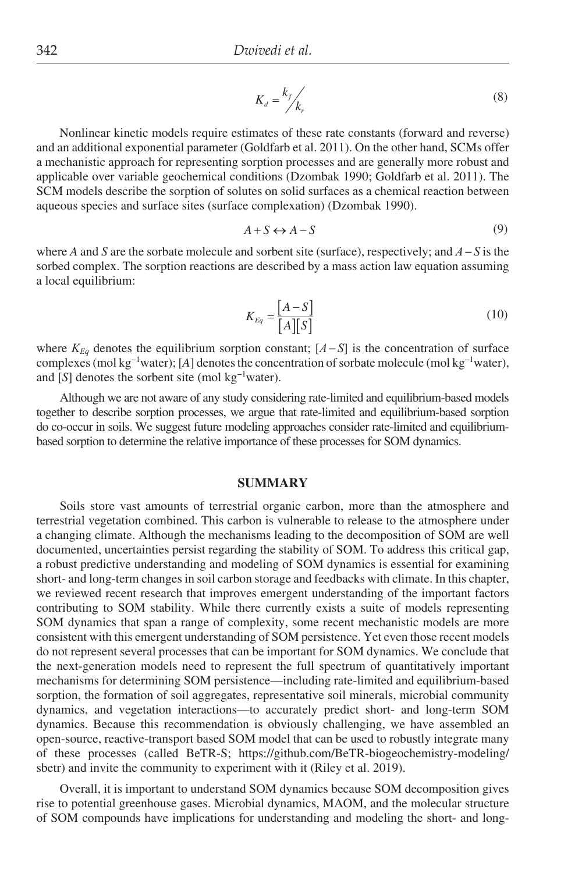$$
K_d = \frac{k_f}{k_r} \tag{8}
$$

Nonlinear kinetic models require estimates of these rate constants (forward and reverse) and an additional exponential parameter (Goldfarb et al. 2011). On the other hand, SCMs offer a mechanistic approach for representing sorption processes and are generally more robust and applicable over variable geochemical conditions (Dzombak 1990; Goldfarb et al. 2011). The SCM models describe the sorption of solutes on solid surfaces as a chemical reaction between aqueous species and surface sites (surface complexation) (Dzombak 1990).

$$
A + S \leftrightarrow A - S \tag{9}
$$

where *A* and *S* are the sorbate molecule and sorbent site (surface), respectively; and *A*−*S* is the sorbed complex. The sorption reactions are described by a mass action law equation assuming a local equilibrium:

$$
K_{Eq} = \frac{[A-S]}{[A][S]}
$$
 (10)

where  $K_{Eq}$  denotes the equilibrium sorption constant;  $[A - S]$  is the concentration of surface complexes (mol kg−1water); [*A*] denotes the concentration of sorbate molecule (mol kg−1water), and [*S*] denotes the sorbent site (mol kg<sup>-1</sup>water).

Although we are not aware of any study considering rate-limited and equilibrium-based models together to describe sorption processes, we argue that rate-limited and equilibrium-based sorption do co-occur in soils. We suggest future modeling approaches consider rate-limited and equilibriumbased sorption to determine the relative importance of these processes for SOM dynamics.

#### **SUMMARY**

Soils store vast amounts of terrestrial organic carbon, more than the atmosphere and terrestrial vegetation combined. This carbon is vulnerable to release to the atmosphere under a changing climate. Although the mechanisms leading to the decomposition of SOM are well documented, uncertainties persist regarding the stability of SOM. To address this critical gap, a robust predictive understanding and modeling of SOM dynamics is essential for examining short- and long-term changes in soil carbon storage and feedbacks with climate. In this chapter, we reviewed recent research that improves emergent understanding of the important factors contributing to SOM stability. While there currently exists a suite of models representing SOM dynamics that span a range of complexity, some recent mechanistic models are more consistent with this emergent understanding of SOM persistence. Yet even those recent models do not represent several processes that can be important for SOM dynamics. We conclude that the next-generation models need to represent the full spectrum of quantitatively important mechanisms for determining SOM persistence—including rate-limited and equilibrium-based sorption, the formation of soil aggregates, representative soil minerals, microbial community dynamics, and vegetation interactions—to accurately predict short- and long-term SOM dynamics. Because this recommendation is obviously challenging, we have assembled an open-source, reactive-transport based SOM model that can be used to robustly integrate many of these processes (called BeTR-S; https://github.com/BeTR-biogeochemistry-modeling/ sbetr) and invite the community to experiment with it (Riley et al. 2019).

Overall, it is important to understand SOM dynamics because SOM decomposition gives rise to potential greenhouse gases. Microbial dynamics, MAOM, and the molecular structure of SOM compounds have implications for understanding and modeling the short- and long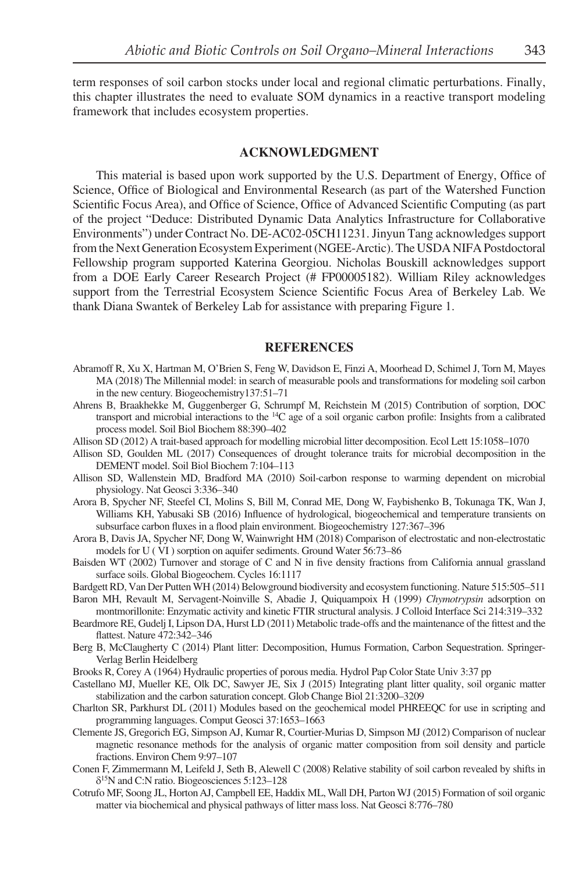term responses of soil carbon stocks under local and regional climatic perturbations. Finally, this chapter illustrates the need to evaluate SOM dynamics in a reactive transport modeling framework that includes ecosystem properties.

#### **ACKNOWLEDGMENT**

This material is based upon work supported by the U.S. Department of Energy, Office of Science, Office of Biological and Environmental Research (as part of the Watershed Function Scientific Focus Area), and Office of Science, Office of Advanced Scientific Computing (as part of the project "Deduce: Distributed Dynamic Data Analytics Infrastructure for Collaborative Environments") under Contract No. DE-AC02-05CH11231. Jinyun Tang acknowledges support from the Next Generation Ecosystem Experiment (NGEE-Arctic). The USDA NIFA Postdoctoral Fellowship program supported Katerina Georgiou. Nicholas Bouskill acknowledges support from a DOE Early Career Research Project (# FP00005182). William Riley acknowledges support from the Terrestrial Ecosystem Science Scientific Focus Area of Berkeley Lab. We thank Diana Swantek of Berkeley Lab for assistance with preparing Figure 1.

## **REFERENCES**

- Abramoff R, Xu X, Hartman M, O'Brien S, Feng W, Davidson E, Finzi A, Moorhead D, Schimel J, Torn M, Mayes MA (2018) The Millennial model: in search of measurable pools and transformations for modeling soil carbon in the new century. Biogeochemistry137:51–71
- Ahrens B, Braakhekke M, Guggenberger G, Schrumpf M, Reichstein M (2015) Contribution of sorption, DOC transport and microbial interactions to the 14C age of a soil organic carbon profile: Insights from a calibrated process model. Soil Biol Biochem 88:390–402
- Allison SD (2012) A trait-based approach for modelling microbial litter decomposition. Ecol Lett 15:1058–1070
- Allison SD, Goulden ML (2017) Consequences of drought tolerance traits for microbial decomposition in the DEMENT model. Soil Biol Biochem 7:104–113
- Allison SD, Wallenstein MD, Bradford MA (2010) Soil-carbon response to warming dependent on microbial physiology. Nat Geosci 3:336–340
- Arora B, Spycher NF, Steefel CI, Molins S, Bill M, Conrad ME, Dong W, Faybishenko B, Tokunaga TK, Wan J, Williams KH, Yabusaki SB (2016) Influence of hydrological, biogeochemical and temperature transients on subsurface carbon fluxes in a flood plain environment. Biogeochemistry 127:367–396
- Arora B, Davis JA, Spycher NF, Dong W, Wainwright HM (2018) Comparison of electrostatic and non-electrostatic models for U ( VI ) sorption on aquifer sediments. Ground Water 56:73–86
- Baisden WT (2002) Turnover and storage of C and N in five density fractions from California annual grassland surface soils. Global Biogeochem. Cycles 16:1117
- Bardgett RD, Van Der Putten WH (2014) Belowground biodiversity and ecosystem functioning. Nature 515:505–511
- Baron MH, Revault M, Servagent-Noinville S, Abadie J, Quiquampoix H (1999) *Chymotrypsin* adsorption on montmorillonite: Enzymatic activity and kinetic FTIR structural analysis. J Colloid Interface Sci 214:319–332
- Beardmore RE, Gudelj I, Lipson DA, Hurst LD (2011) Metabolic trade-offs and the maintenance of the fittest and the flattest. Nature 472:342–346
- Berg B, McClaugherty C (2014) Plant litter: Decomposition, Humus Formation, Carbon Sequestration. Springer-Verlag Berlin Heidelberg
- Brooks R, Corey A (1964) Hydraulic properties of porous media. Hydrol Pap Color State Univ 3:37 pp
- Castellano MJ, Mueller KE, Olk DC, Sawyer JE, Six J (2015) Integrating plant litter quality, soil organic matter stabilization and the carbon saturation concept. Glob Change Biol 21:3200–3209
- Charlton SR, Parkhurst DL (2011) Modules based on the geochemical model PHREEQC for use in scripting and programming languages. Comput Geosci 37:1653–1663
- Clemente JS, Gregorich EG, Simpson AJ, Kumar R, Courtier-Murias D, Simpson MJ (2012) Comparison of nuclear magnetic resonance methods for the analysis of organic matter composition from soil density and particle fractions. Environ Chem 9:97–107
- Conen F, Zimmermann M, Leifeld J, Seth B, Alewell C (2008) Relative stability of soil carbon revealed by shifts in δ15N and C:N ratio. Biogeosciences 5:123–128
- Cotrufo MF, Soong JL, Horton AJ, Campbell EE, Haddix ML, Wall DH, Parton WJ (2015) Formation of soil organic matter via biochemical and physical pathways of litter mass loss. Nat Geosci 8:776–780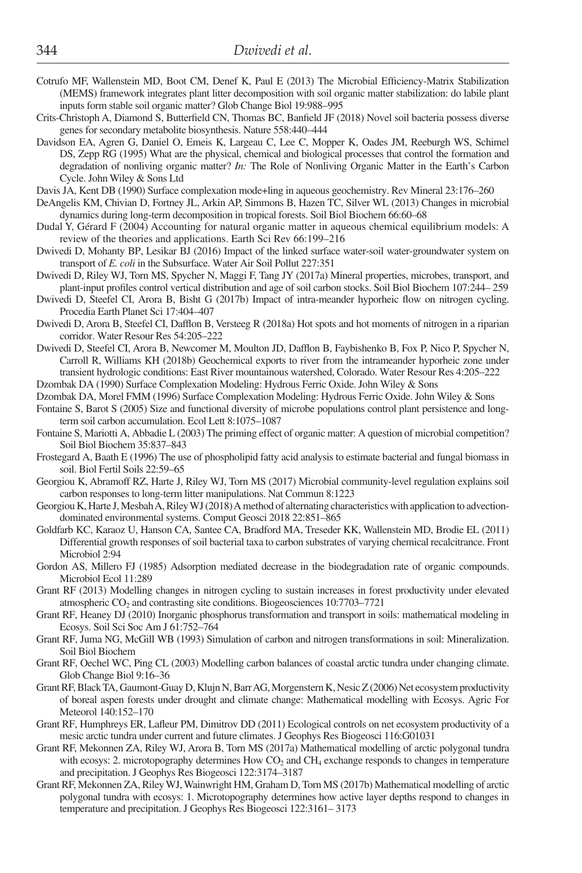- Cotrufo MF, Wallenstein MD, Boot CM, Denef K, Paul E (2013) The Microbial Efficiency-Matrix Stabilization (MEMS) framework integrates plant litter decomposition with soil organic matter stabilization: do labile plant inputs form stable soil organic matter? Glob Change Biol 19:988–995
- Crits-Christoph A, Diamond S, Butterfield CN, Thomas BC, Banfield JF (2018) Novel soil bacteria possess diverse genes for secondary metabolite biosynthesis. Nature 558:440–444
- Davidson EA, Agren G, Daniel O, Emeis K, Largeau C, Lee C, Mopper K, Oades JM, Reeburgh WS, Schimel DS, Zepp RG (1995) What are the physical, chemical and biological processes that control the formation and degradation of nonliving organic matter? *In:* The Role of Nonliving Organic Matter in the Earth's Carbon Cycle. John Wiley & Sons Ltd
- Davis JA, Kent DB (1990) Surface complexation mode+ling in aqueous geochemistry. Rev Mineral 23:176–260
- DeAngelis KM, Chivian D, Fortney JL, Arkin AP, Simmons B, Hazen TC, Silver WL (2013) Changes in microbial dynamics during long-term decomposition in tropical forests. Soil Biol Biochem 66:60–68
- Dudal Y, Gérard F (2004) Accounting for natural organic matter in aqueous chemical equilibrium models: A review of the theories and applications. Earth Sci Rev 66:199–216
- Dwivedi D, Mohanty BP, Lesikar BJ (2016) Impact of the linked surface water-soil water-groundwater system on transport of *E. coli* in the Subsurface. Water Air Soil Pollut 227:351
- Dwivedi D, Riley WJ, Torn MS, Spycher N, Maggi F, Tang JY (2017a) Mineral properties, microbes, transport, and plant-input profiles control vertical distribution and age of soil carbon stocks. Soil Biol Biochem 107:244– 259
- Dwivedi D, Steefel CI, Arora B, Bisht G (2017b) Impact of intra-meander hyporheic flow on nitrogen cycling. Procedia Earth Planet Sci 17:404–407
- Dwivedi D, Arora B, Steefel CI, Dafflon B, Versteeg R (2018a) Hot spots and hot moments of nitrogen in a riparian corridor. Water Resour Res 54:205–222
- Dwivedi D, Steefel CI, Arora B, Newcomer M, Moulton JD, Dafflon B, Faybishenko B, Fox P, Nico P, Spycher N, Carroll R, Williams KH (2018b) Geochemical exports to river from the intrameander hyporheic zone under transient hydrologic conditions: East River mountainous watershed, Colorado. Water Resour Res 4:205–222
- Dzombak DA (1990) Surface Complexation Modeling: Hydrous Ferric Oxide. John Wiley & Sons
- Dzombak DA, Morel FMM (1996) Surface Complexation Modeling: Hydrous Ferric Oxide. John Wiley & Sons
- Fontaine S, Barot S (2005) Size and functional diversity of microbe populations control plant persistence and longterm soil carbon accumulation. Ecol Lett 8:1075–1087
- Fontaine S, Mariotti A, Abbadie L (2003) The priming effect of organic matter: A question of microbial competition? Soil Biol Biochem 35:837–843
- Frostegard A, Baath E (1996) The use of phospholipid fatty acid analysis to estimate bacterial and fungal biomass in soil. Biol Fertil Soils 22:59–65
- Georgiou K, Abramoff RZ, Harte J, Riley WJ, Torn MS (2017) Microbial community-level regulation explains soil carbon responses to long-term litter manipulations. Nat Commun 8:1223
- Georgiou K, Harte J, Mesbah A, Riley WJ (2018) A method of alternating characteristics with application to advectiondominated environmental systems. Comput Geosci 2018 22:851–865
- Goldfarb KC, Karaoz U, Hanson CA, Santee CA, Bradford MA, Treseder KK, Wallenstein MD, Brodie EL (2011) Differential growth responses of soil bacterial taxa to carbon substrates of varying chemical recalcitrance. Front Microbiol 2:94
- Gordon AS, Millero FJ (1985) Adsorption mediated decrease in the biodegradation rate of organic compounds. Microbiol Ecol 11:289
- Grant RF (2013) Modelling changes in nitrogen cycling to sustain increases in forest productivity under elevated atmospheric CO<sub>2</sub> and contrasting site conditions. Biogeosciences 10:7703–7721
- Grant RF, Heaney DJ (2010) Inorganic phosphorus transformation and transport in soils: mathematical modeling in Ecosys. Soil Sci Soc Am J 61:752–764
- Grant RF, Juma NG, McGill WB (1993) Simulation of carbon and nitrogen transformations in soil: Mineralization. Soil Biol Biochem
- Grant RF, Oechel WC, Ping CL (2003) Modelling carbon balances of coastal arctic tundra under changing climate. Glob Change Biol 9:16–36
- Grant RF, Black TA, Gaumont-Guay D, Klujn N, Barr AG, Morgenstern K, Nesic Z (2006) Net ecosystem productivity of boreal aspen forests under drought and climate change: Mathematical modelling with Ecosys. Agric For Meteorol 140:152–170
- Grant RF, Humphreys ER, Lafleur PM, Dimitrov DD (2011) Ecological controls on net ecosystem productivity of a mesic arctic tundra under current and future climates. J Geophys Res Biogeosci 116:G01031
- Grant RF, Mekonnen ZA, Riley WJ, Arora B, Torn MS (2017a) Mathematical modelling of arctic polygonal tundra with ecosys: 2. microtopography determines  $How CO<sub>2</sub> and CH<sub>4</sub> exchange responds to changes in temperature$ and precipitation. J Geophys Res Biogeosci 122:3174–3187
- Grant RF, Mekonnen ZA, Riley WJ, Wainwright HM, Graham D, Torn MS (2017b) Mathematical modelling of arctic polygonal tundra with ecosys: 1. Microtopography determines how active layer depths respond to changes in temperature and precipitation. J Geophys Res Biogeosci 122:3161– 3173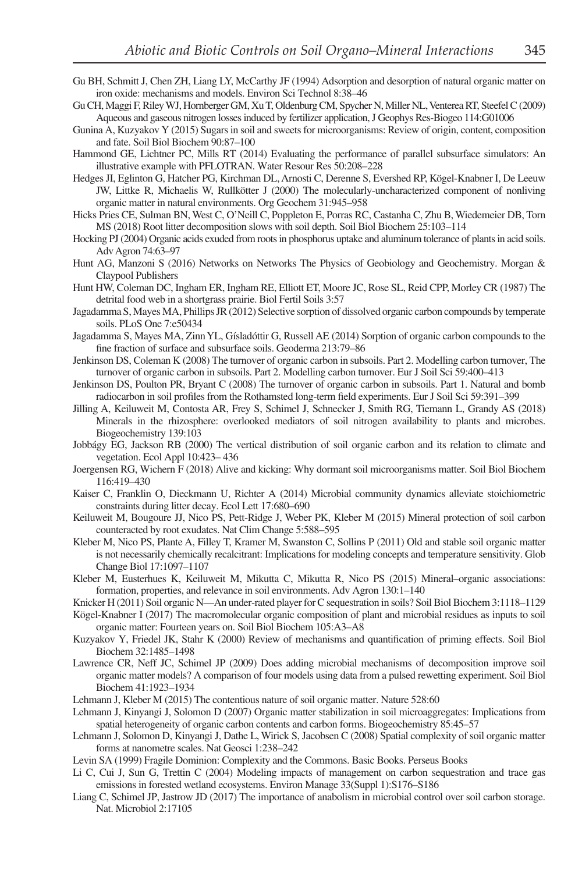- Gu BH, Schmitt J, Chen ZH, Liang LY, McCarthy JF (1994) Adsorption and desorption of natural organic matter on iron oxide: mechanisms and models. Environ Sci Technol 8:38–46
- Gu CH, Maggi F, Riley WJ, Hornberger GM, Xu T, Oldenburg CM, Spycher N, Miller NL, Venterea RT, Steefel C (2009) Aqueous and gaseous nitrogen losses induced by fertilizer application, J Geophys Res-Biogeo 114:G01006
- Gunina A, Kuzyakov Y (2015) Sugars in soil and sweets for microorganisms: Review of origin, content, composition and fate. Soil Biol Biochem 90:87–100
- Hammond GE, Lichtner PC, Mills RT (2014) Evaluating the performance of parallel subsurface simulators: An illustrative example with PFLOTRAN. Water Resour Res 50:208–228
- Hedges JI, Eglinton G, Hatcher PG, Kirchman DL, Arnosti C, Derenne S, Evershed RP, Kögel-Knabner I, De Leeuw JW, Littke R, Michaelis W, Rullkötter J (2000) The molecularly-uncharacterized component of nonliving organic matter in natural environments. Org Geochem 31:945–958
- Hicks Pries CE, Sulman BN, West C, O'Neill C, Poppleton E, Porras RC, Castanha C, Zhu B, Wiedemeier DB, Torn MS (2018) Root litter decomposition slows with soil depth. Soil Biol Biochem 25:103–114
- Hocking PJ (2004) Organic acids exuded from roots in phosphorus uptake and aluminum tolerance of plants in acid soils. Adv Agron 74:63–97
- Hunt AG, Manzoni S (2016) Networks on Networks The Physics of Geobiology and Geochemistry. Morgan & Claypool Publishers
- Hunt HW, Coleman DC, Ingham ER, Ingham RE, Elliott ET, Moore JC, Rose SL, Reid CPP, Morley CR (1987) The detrital food web in a shortgrass prairie. Biol Fertil Soils 3:57
- Jagadamma S, Mayes MA, Phillips JR (2012) Selective sorption of dissolved organic carbon compounds by temperate soils. PLoS One 7:e50434
- Jagadamma S, Mayes MA, Zinn YL, Gísladóttir G, Russell AE (2014) Sorption of organic carbon compounds to the fine fraction of surface and subsurface soils. Geoderma 213:79–86
- Jenkinson DS, Coleman K (2008) The turnover of organic carbon in subsoils. Part 2. Modelling carbon turnover, The turnover of organic carbon in subsoils. Part 2. Modelling carbon turnover. Eur J Soil Sci 59:400–413
- Jenkinson DS, Poulton PR, Bryant C (2008) The turnover of organic carbon in subsoils. Part 1. Natural and bomb radiocarbon in soil profiles from the Rothamsted long-term field experiments. Eur J Soil Sci 59:391–399
- Jilling A, Keiluweit M, Contosta AR, Frey S, Schimel J, Schnecker J, Smith RG, Tiemann L, Grandy AS (2018) Minerals in the rhizosphere: overlooked mediators of soil nitrogen availability to plants and microbes. Biogeochemistry 139:103
- Jobbágy EG, Jackson RB (2000) The vertical distribution of soil organic carbon and its relation to climate and vegetation. Ecol Appl 10:423– 436
- Joergensen RG, Wichern F (2018) Alive and kicking: Why dormant soil microorganisms matter. Soil Biol Biochem 116:419–430
- Kaiser C, Franklin O, Dieckmann U, Richter A (2014) Microbial community dynamics alleviate stoichiometric constraints during litter decay. Ecol Lett 17:680–690
- Keiluweit M, Bougoure JJ, Nico PS, Pett-Ridge J, Weber PK, Kleber M (2015) Mineral protection of soil carbon counteracted by root exudates. Nat Clim Change 5:588–595
- Kleber M, Nico PS, Plante A, Filley T, Kramer M, Swanston C, Sollins P (2011) Old and stable soil organic matter is not necessarily chemically recalcitrant: Implications for modeling concepts and temperature sensitivity. Glob Change Biol 17:1097–1107
- Kleber M, Eusterhues K, Keiluweit M, Mikutta C, Mikutta R, Nico PS (2015) Mineral–organic associations: formation, properties, and relevance in soil environments. Adv Agron 130:1–140
- Knicker H (2011) Soil organic N—An under-rated player for C sequestration in soils? Soil Biol Biochem 3:1118–1129
- Kögel-Knabner I (2017) The macromolecular organic composition of plant and microbial residues as inputs to soil organic matter: Fourteen years on. Soil Biol Biochem 105:A3–A8
- Kuzyakov Y, Friedel JK, Stahr K (2000) Review of mechanisms and quantification of priming effects. Soil Biol Biochem 32:1485–1498
- Lawrence CR, Neff JC, Schimel JP (2009) Does adding microbial mechanisms of decomposition improve soil organic matter models? A comparison of four models using data from a pulsed rewetting experiment. Soil Biol Biochem 41:1923–1934
- Lehmann J, Kleber M (2015) The contentious nature of soil organic matter. Nature 528:60
- Lehmann J, Kinyangi J, Solomon D (2007) Organic matter stabilization in soil microaggregates: Implications from spatial heterogeneity of organic carbon contents and carbon forms. Biogeochemistry 85:45–57
- Lehmann J, Solomon D, Kinyangi J, Dathe L, Wirick S, Jacobsen C (2008) Spatial complexity of soil organic matter forms at nanometre scales. Nat Geosci 1:238–242
- Levin SA (1999) Fragile Dominion: Complexity and the Commons. Basic Books. Perseus Books
- Li C, Cui J, Sun G, Trettin C (2004) Modeling impacts of management on carbon sequestration and trace gas emissions in forested wetland ecosystems. Environ Manage 33(Suppl 1):S176–S186
- Liang C, Schimel JP, Jastrow JD (2017) The importance of anabolism in microbial control over soil carbon storage. Nat. Microbiol 2:17105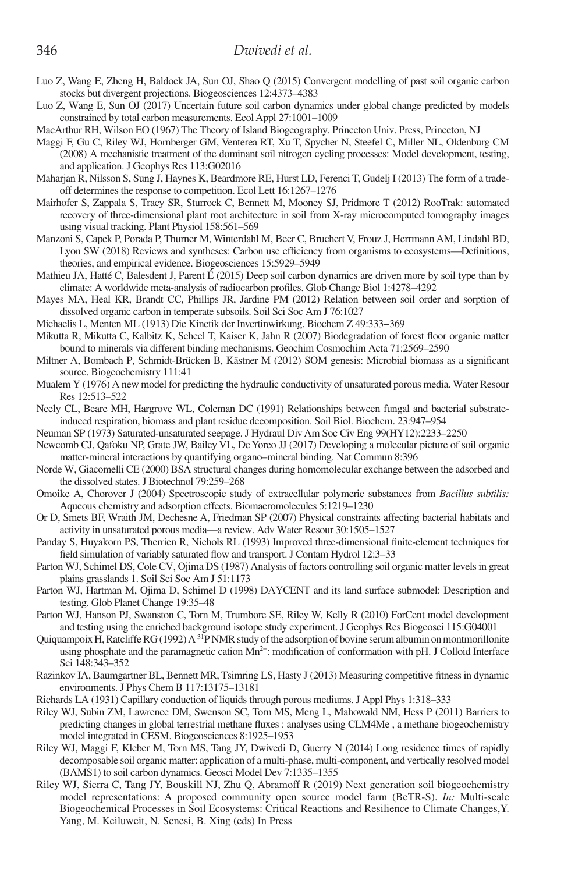- Luo Z, Wang E, Zheng H, Baldock JA, Sun OJ, Shao Q (2015) Convergent modelling of past soil organic carbon stocks but divergent projections. Biogeosciences 12:4373–4383
- Luo Z, Wang E, Sun OJ (2017) Uncertain future soil carbon dynamics under global change predicted by models constrained by total carbon measurements. Ecol Appl 27:1001–1009
- MacArthur RH, Wilson EO (1967) The Theory of Island Biogeography. Princeton Univ. Press, Princeton, NJ
- Maggi F, Gu C, Riley WJ, Hornberger GM, Venterea RT, Xu T, Spycher N, Steefel C, Miller NL, Oldenburg CM (2008) A mechanistic treatment of the dominant soil nitrogen cycling processes: Model development, testing, and application. J Geophys Res 113:G02016
- Maharjan R, Nilsson S, Sung J, Haynes K, Beardmore RE, Hurst LD, Ferenci T, Gudelj I (2013) The form of a tradeoff determines the response to competition. Ecol Lett 16:1267–1276
- Mairhofer S, Zappala S, Tracy SR, Sturrock C, Bennett M, Mooney SJ, Pridmore T (2012) RooTrak: automated recovery of three-dimensional plant root architecture in soil from X-ray microcomputed tomography images using visual tracking. Plant Physiol 158:561–569
- Manzoni S, Capek P, Porada P, Thurner M, Winterdahl M, Beer C, Bruchert V, Frouz J, Herrmann AM, Lindahl BD, Lyon SW (2018) Reviews and syntheses: Carbon use efficiency from organisms to ecosystems—Definitions, theories, and empirical evidence. Biogeosciences 15:5929–5949
- Mathieu JA, Hatté C, Balesdent J, Parent É (2015) Deep soil carbon dynamics are driven more by soil type than by climate: A worldwide meta-analysis of radiocarbon profiles. Glob Change Biol 1:4278–4292
- Mayes MA, Heal KR, Brandt CC, Phillips JR, Jardine PM (2012) Relation between soil order and sorption of dissolved organic carbon in temperate subsoils. Soil Sci Soc Am J 76:1027
- Michaelis L, Menten ML (1913) Die Kinetik der Invertinwirkung. Biochem Z 49:333−369
- Mikutta R, Mikutta C, Kalbitz K, Scheel T, Kaiser K, Jahn R (2007) Biodegradation of forest floor organic matter bound to minerals via different binding mechanisms. Geochim Cosmochim Acta 71:2569–2590
- Miltner A, Bombach P, Schmidt-Brücken B, Kästner M (2012) SOM genesis: Microbial biomass as a significant source. Biogeochemistry 111:41
- Mualem Y (1976) A new model for predicting the hydraulic conductivity of unsaturated porous media. Water Resour Res 12:513–522
- Neely CL, Beare MH, Hargrove WL, Coleman DC (1991) Relationships between fungal and bacterial substrateinduced respiration, biomass and plant residue decomposition. Soil Biol. Biochem. 23:947–954
- Neuman SP (1973) Saturated-unsaturated seepage. J Hydraul Div Am Soc Civ Eng 99(HY12):2233–2250
- Newcomb CJ, Qafoku NP, Grate JW, Bailey VL, De Yoreo JJ (2017) Developing a molecular picture of soil organic matter-mineral interactions by quantifying organo–mineral binding. Nat Commun 8:396
- Norde W, Giacomelli CE (2000) BSA structural changes during homomolecular exchange between the adsorbed and the dissolved states. J Biotechnol 79:259–268
- Omoike A, Chorover J (2004) Spectroscopic study of extracellular polymeric substances from *Bacillus subtilis:*  Aqueous chemistry and adsorption effects. Biomacromolecules 5:1219–1230
- Or D, Smets BF, Wraith JM, Dechesne A, Friedman SP (2007) Physical constraints affecting bacterial habitats and activity in unsaturated porous media—a review. Adv Water Resour 30:1505–1527
- Panday S, Huyakorn PS, Therrien R, Nichols RL (1993) Improved three-dimensional finite-element techniques for field simulation of variably saturated flow and transport. J Contam Hydrol 12:3–33
- Parton WJ, Schimel DS, Cole CV, Ojima DS (1987) Analysis of factors controlling soil organic matter levels in great plains grasslands 1. Soil Sci Soc Am J 51:1173
- Parton WJ, Hartman M, Ojima D, Schimel D (1998) DAYCENT and its land surface submodel: Description and testing. Glob Planet Change 19:35–48
- Parton WJ, Hanson PJ, Swanston C, Torn M, Trumbore SE, Riley W, Kelly R (2010) ForCent model development and testing using the enriched background isotope study experiment. J Geophys Res Biogeosci 115:G04001
- Quiquampoix H, Ratcliffe RG (1992) A <sup>31</sup>P NMR study of the adsorption of bovine serum albumin on montmorillonite using phosphate and the paramagnetic cation Mn<sup>2+</sup>: modification of conformation with pH. J Colloid Interface Sci 148:343–352
- Razinkov IA, Baumgartner BL, Bennett MR, Tsimring LS, Hasty J (2013) Measuring competitive fitness in dynamic environments. J Phys Chem B 117:13175–13181
- Richards LA (1931) Capillary conduction of liquids through porous mediums. J Appl Phys 1:318–333
- Riley WJ, Subin ZM, Lawrence DM, Swenson SC, Torn MS, Meng L, Mahowald NM, Hess P (2011) Barriers to predicting changes in global terrestrial methane fluxes : analyses using CLM4Me , a methane biogeochemistry model integrated in CESM. Biogeosciences 8:1925–1953
- Riley WJ, Maggi F, Kleber M, Torn MS, Tang JY, Dwivedi D, Guerry N (2014) Long residence times of rapidly decomposable soil organic matter: application of a multi-phase, multi-component, and vertically resolved model (BAMS1) to soil carbon dynamics. Geosci Model Dev 7:1335–1355
- Riley WJ, Sierra C, Tang JY, Bouskill NJ, Zhu Q, Abramoff R (2019) Next generation soil biogeochemistry model representations: A proposed community open source model farm (BeTR-S). *In:* Multi-scale Biogeochemical Processes in Soil Ecosystems: Critical Reactions and Resilience to Climate Changes,Y. Yang, M. Keiluweit, N. Senesi, B. Xing (eds) In Press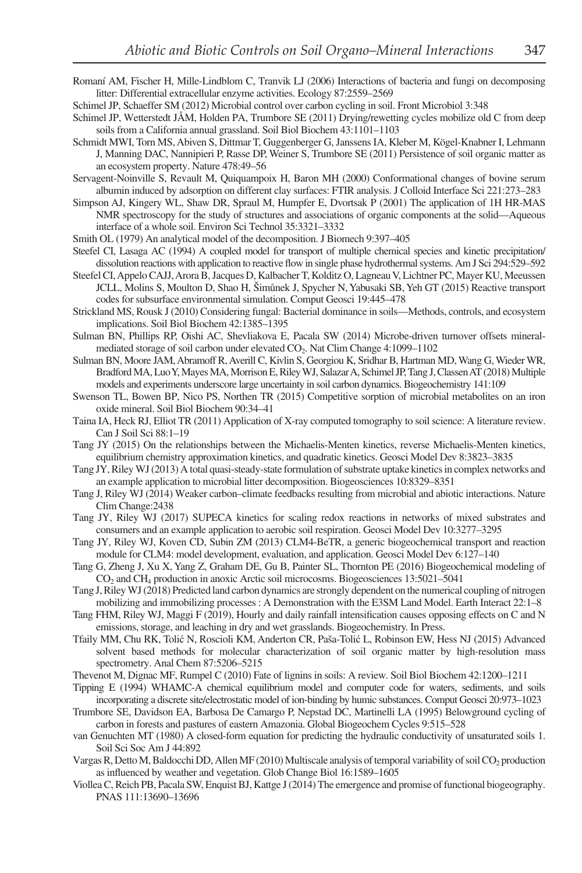- Romaní AM, Fischer H, Mille-Lindblom C, Tranvik LJ (2006) Interactions of bacteria and fungi on decomposing litter: Differential extracellular enzyme activities. Ecology 87:2559–2569
- Schimel JP, Schaeffer SM (2012) Microbial control over carbon cycling in soil. Front Microbiol 3:348
- Schimel JP, Wetterstedt JÅM, Holden PA, Trumbore SE (2011) Drying/rewetting cycles mobilize old C from deep soils from a California annual grassland. Soil Biol Biochem 43:1101–1103
- Schmidt MWI, Torn MS, Abiven S, Dittmar T, Guggenberger G, Janssens IA, Kleber M, Kögel-Knabner I, Lehmann J, Manning DAC, Nannipieri P, Rasse DP, Weiner S, Trumbore SE (2011) Persistence of soil organic matter as an ecosystem property. Nature 478:49–56
- Servagent-Noinville S, Revault M, Quiquampoix H, Baron MH (2000) Conformational changes of bovine serum albumin induced by adsorption on different clay surfaces: FTIR analysis. J Colloid Interface Sci 221:273–283
- Simpson AJ, Kingery WL, Shaw DR, Spraul M, Humpfer E, Dvortsak P (2001) The application of 1H HR-MAS NMR spectroscopy for the study of structures and associations of organic components at the solid—Aqueous interface of a whole soil. Environ Sci Technol 35:3321–3332
- Smith OL (1979) An analytical model of the decomposition. J Biomech 9:397–405
- Steefel CI, Lasaga AC (1994) A coupled model for transport of multiple chemical species and kinetic precipitation/ dissolution reactions with application to reactive flow in single phase hydrothermal systems. Am J Sci 294:529–592
- Steefel CI, Appelo CAJJ, Arora B, Jacques D, Kalbacher T, Kolditz O, Lagneau V, Lichtner PC, Mayer KU, Meeussen JCLL, Molins S, Moulton D, Shao H, Šimůnek J, Spycher N, Yabusaki SB, Yeh GT (2015) Reactive transport codes for subsurface environmental simulation. Comput Geosci 19:445–478
- Strickland MS, Rousk J (2010) Considering fungal: Bacterial dominance in soils—Methods, controls, and ecosystem implications. Soil Biol Biochem 42:1385–1395
- Sulman BN, Phillips RP, Oishi AC, Shevliakova E, Pacala SW (2014) Microbe-driven turnover offsets mineralmediated storage of soil carbon under elevated CO<sub>2</sub>. Nat Clim Change 4:1099–1102
- Sulman BN, Moore JAM, Abramoff R, Averill C, Kivlin S, Georgiou K, Sridhar B, Hartman MD, Wang G, Wieder WR, Bradford MA, Luo Y, Mayes MA, Morrison E, Riley WJ, Salazar A, Schimel JP, Tang J, Classen AT (2018) Multiple models and experiments underscore large uncertainty in soil carbon dynamics. Biogeochemistry 141:109
- Swenson TL, Bowen BP, Nico PS, Northen TR (2015) Competitive sorption of microbial metabolites on an iron oxide mineral. Soil Biol Biochem 90:34–41
- Taina IA, Heck RJ, Elliot TR (2011) Application of X-ray computed tomography to soil science: A literature review. Can J Soil Sci 88:1–19
- Tang JY (2015) On the relationships between the Michaelis-Menten kinetics, reverse Michaelis-Menten kinetics, equilibrium chemistry approximation kinetics, and quadratic kinetics. Geosci Model Dev 8:3823–3835
- Tang JY, Riley WJ (2013) A total quasi-steady-state formulation of substrate uptake kinetics in complex networks and an example application to microbial litter decomposition. Biogeosciences 10:8329–8351
- Tang J, Riley WJ (2014) Weaker carbon–climate feedbacks resulting from microbial and abiotic interactions. Nature Clim Change:2438
- Tang JY, Riley WJ (2017) SUPECA kinetics for scaling redox reactions in networks of mixed substrates and consumers and an example application to aerobic soil respiration. Geosci Model Dev 10:3277–3295
- Tang JY, Riley WJ, Koven CD, Subin ZM (2013) CLM4-BeTR, a generic biogeochemical transport and reaction module for CLM4: model development, evaluation, and application. Geosci Model Dev 6:127–140
- Tang G, Zheng J, Xu X, Yang Z, Graham DE, Gu B, Painter SL, Thornton PE (2016) Biogeochemical modeling of  $CO<sub>2</sub>$  and  $CH<sub>4</sub>$  production in anoxic Arctic soil microcosms. Biogeosciences 13:5021–5041
- Tang J, Riley WJ (2018) Predicted land carbon dynamics are strongly dependent on the numerical coupling of nitrogen mobilizing and immobilizing processes : A Demonstration with the E3SM Land Model. Earth Interact 22:1–8
- Tang FHM, Riley WJ, Maggi F (2019), Hourly and daily rainfall intensification causes opposing effects on C and N emissions, storage, and leaching in dry and wet grasslands. Biogeochemistry. In Press.
- Tfaily MM, Chu RK, Tolić N, Roscioli KM, Anderton CR, Paša-Tolić L, Robinson EW, Hess NJ (2015) Advanced solvent based methods for molecular characterization of soil organic matter by high-resolution mass spectrometry. Anal Chem 87:5206–5215
- Thevenot M, Dignac MF, Rumpel C (2010) Fate of lignins in soils: A review. Soil Biol Biochem 42:1200–1211
- Tipping E (1994) WHAMC-A chemical equilibrium model and computer code for waters, sediments, and soils incorporating a discrete site/electrostatic model of ion-binding by humic substances. Comput Geosci 20:973–1023
- Trumbore SE, Davidson EA, Barbosa De Camargo P, Nepstad DC, Martinelli LA (1995) Belowground cycling of carbon in forests and pastures of eastern Amazonia. Global Biogeochem Cycles 9:515–528
- van Genuchten MT (1980) A closed-form equation for predicting the hydraulic conductivity of unsaturated soils 1. Soil Sci Soc Am J 44:892
- Vargas R, Detto M, Baldocchi DD, Allen MF (2010) Multiscale analysis of temporal variability of soil CO<sub>2</sub> production as influenced by weather and vegetation. Glob Change Biol 16:1589–1605
- Viollea C, Reich PB, Pacala SW, Enquist BJ, Kattge J (2014) The emergence and promise of functional biogeography. PNAS 111:13690–13696